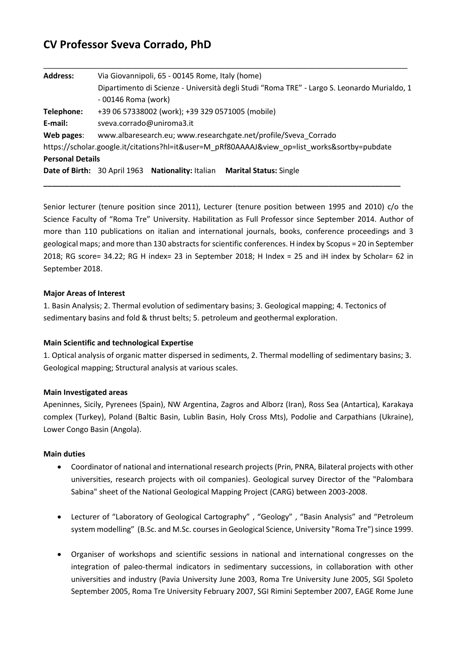# **CV Professor Sveva Corrado, PhD**

| <b>Address:</b>         | Via Giovannipoli, 65 - 00145 Rome, Italy (home)                                               |
|-------------------------|-----------------------------------------------------------------------------------------------|
|                         | Dipartimento di Scienze - Università degli Studi "Roma TRE" - Largo S. Leonardo Murialdo, 1   |
|                         | - 00146 Roma (work)                                                                           |
| Telephone:              | +39 06 57338002 (work); +39 329 0571005 (mobile)                                              |
| E-mail:                 | sveva.corrado@uniroma3.it                                                                     |
| Web pages:              | www.albaresearch.eu; www.researchgate.net/profile/Sveva Corrado                               |
|                         | https://scholar.google.it/citations?hl=it&user=M_pRf80AAAAJ&view_op=list_works&sortby=pubdate |
| <b>Personal Details</b> |                                                                                               |
|                         | Date of Birth: 30 April 1963 Nationality: Italian Marital Status: Single                      |
|                         |                                                                                               |

**\_\_\_\_\_\_\_\_\_\_\_\_\_\_\_\_\_\_\_\_\_\_\_\_\_\_\_\_\_\_\_\_\_\_\_\_\_\_\_\_\_\_\_\_\_\_\_\_\_\_\_\_\_\_\_\_\_\_\_\_\_\_\_\_\_\_\_\_\_\_\_\_\_\_\_\_\_\_\_\_\_\_\_\_\_**

**\_\_\_\_\_\_\_\_\_\_\_\_\_\_\_\_\_\_\_\_\_\_\_\_\_\_\_\_\_\_\_\_\_\_\_\_\_\_\_\_\_\_\_\_\_\_\_\_\_\_\_\_\_\_\_\_\_\_\_\_\_\_\_\_\_\_\_\_\_\_\_\_\_\_\_\_\_\_\_\_\_\_\_\_\_\_\_\_\_\_\_\_\_\_\_**

Senior lecturer (tenure position since 2011), Lecturer (tenure position between 1995 and 2010) c/o the Science Faculty of "Roma Tre" University. Habilitation as Full Professor since September 2014. Author of more than 110 publications on italian and international journals, books, conference proceedings and 3 geological maps; and more than 130 abstracts for scientific conferences. H index by Scopus = 20 in September 2018; RG score= 34.22; RG H index= 23 in September 2018; H Index = 25 and iH index by Scholar= 62 in September 2018.

#### **Major Areas of Interest**

1. Basin Analysis; 2. Thermal evolution of sedimentary basins; 3. Geological mapping; 4. Tectonics of sedimentary basins and fold & thrust belts; 5. petroleum and geothermal exploration.

#### **Main Scientific and technological Expertise**

1. Optical analysis of organic matter dispersed in sediments, 2. Thermal modelling of sedimentary basins; 3. Geological mapping; Structural analysis at various scales.

#### **Main Investigated areas**

Apeninnes, Sicily, Pyrenees (Spain), NW Argentina, Zagros and Alborz (Iran), Ross Sea (Antartica), Karakaya complex (Turkey), Poland (Baltic Basin, Lublin Basin, Holy Cross Mts), Podolie and Carpathians (Ukraine), Lower Congo Basin (Angola).

#### **Main duties**

- Coordinator of national and international research projects (Prin, PNRA, Bilateral projects with other universities, research projects with oil companies). Geological survey Director of the "Palombara Sabina" sheet of the National Geological Mapping Project (CARG) between 2003-2008.
- Lecturer of "Laboratory of Geological Cartography" , "Geology" , "Basin Analysis" and "Petroleum system modelling" (B.Sc. and M.Sc. courses in Geological Science, University "Roma Tre") since 1999.
- Organiser of workshops and scientific sessions in national and international congresses on the integration of paleo-thermal indicators in sedimentary successions, in collaboration with other universities and industry (Pavia University June 2003, Roma Tre University June 2005, SGI Spoleto September 2005, Roma Tre University February 2007, SGI Rimini September 2007, EAGE Rome June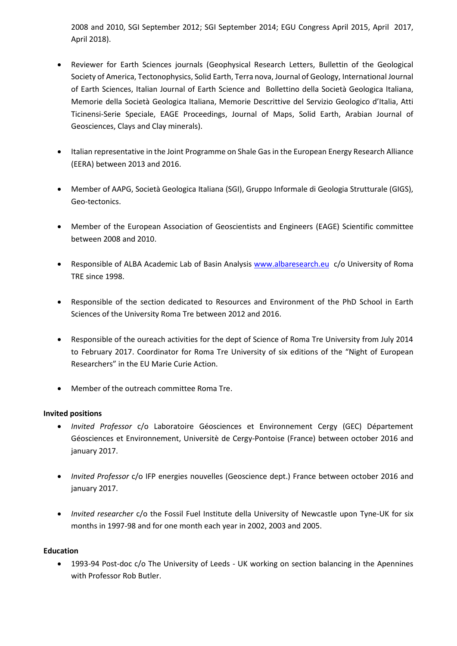2008 and 2010, SGI September 2012; SGI September 2014; EGU Congress April 2015, April 2017, April 2018).

- Reviewer for Earth Sciences journals (Geophysical Research Letters, Bullettin of the Geological Society of America, Tectonophysics, Solid Earth, Terra nova, Journal of Geology, International Journal of Earth Sciences, Italian Journal of Earth Science and Bollettino della Società Geologica Italiana, Memorie della Società Geologica Italiana, Memorie Descrittive del Servizio Geologico d'Italia, Atti Ticinensi-Serie Speciale, EAGE Proceedings, Journal of Maps, Solid Earth, Arabian Journal of Geosciences, Clays and Clay minerals).
- Italian representative in the Joint Programme on Shale Gas in the European Energy Research Alliance (EERA) between 2013 and 2016.
- Member of AAPG, Società Geologica Italiana (SGI), Gruppo Informale di Geologia Strutturale (GIGS), Geo-tectonics.
- Member of the European Association of Geoscientists and Engineers (EAGE) Scientific committee between 2008 and 2010.
- Responsible of ALBA Academic Lab of Basin Analysis [www.albaresearch.eu](http://www.albaresearch.eu/) c/o University of Roma TRE since 1998.
- Responsible of the section dedicated to Resources and Environment of the PhD School in Earth Sciences of the University Roma Tre between 2012 and 2016.
- Responsible of the oureach activities for the dept of Science of Roma Tre University from July 2014 to February 2017. Coordinator for Roma Tre University of six editions of the "Night of European Researchers" in the EU Marie Curie Action.
- Member of the outreach committee Roma Tre.

### **Invited positions**

- *Invited Professor* c/o Laboratoire Géosciences et Environnement Cergy (GEC) Département Géosciences et Environnement, Universitè de Cergy-Pontoise (France) between october 2016 and january 2017.
- *Invited Professor* c/o IFP energies nouvelles (Geoscience dept.) France between october 2016 and january 2017.
- *Invited researcher* c/o the Fossil Fuel Institute della University of Newcastle upon Tyne-UK for six months in 1997-98 and for one month each year in 2002, 2003 and 2005.

### **Education**

• 1993-94 Post-doc c/o The University of Leeds - UK working on section balancing in the Apennines with Professor Rob Butler.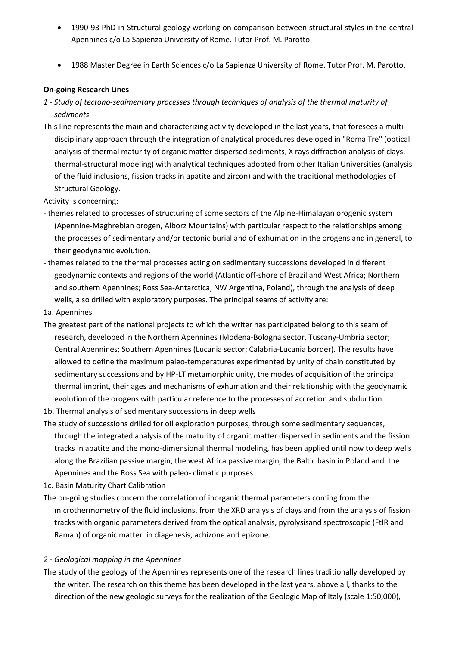- 1990-93 PhD in Structural geology working on comparison between structural styles in the central Apennines c/o La Sapienza University of Rome. Tutor Prof. M. Parotto.
- 1988 Master Degree in Earth Sciences c/o La Sapienza University of Rome. Tutor Prof. M. Parotto.

### **On-going Research Lines**

- *1 - Study of tectono-sedimentary processes through techniques of analysis of the thermal maturity of sediments*
- This line represents the main and characterizing activity developed in the last years, that foresees a multidisciplinary approach through the integration of analytical procedures developed in "Roma Tre" (optical analysis of thermal maturity of organic matter dispersed sediments, X rays diffraction analysis of clays, thermal-structural modeling) with analytical techniques adopted from other Italian Universities (analysis of the fluid inclusions, fission tracks in apatite and zircon) and with the traditional methodologies of Structural Geology.

Activity is concerning:

- themes related to processes of structuring of some sectors of the Alpine-Himalayan orogenic system (Apennine-Maghrebian orogen, Alborz Mountains) with particular respect to the relationships among the processes of sedimentary and/or tectonic burial and of exhumation in the orogens and in general, to their geodynamic evolution.
- themes related to the thermal processes acting on sedimentary successions developed in different geodynamic contexts and regions of the world (Atlantic off-shore of Brazil and West Africa; Northern and southern Apennines; Ross Sea-Antarctica, NW Argentina, Poland), through the analysis of deep wells, also drilled with exploratory purposes. The principal seams of activity are:
- 1a. Apennines
- The greatest part of the national projects to which the writer has participated belong to this seam of research, developed in the Northern Apennines (Modena-Bologna sector, Tuscany-Umbria sector; Central Apennines; Southern Apennines (Lucania sector; Calabria-Lucania border). The results have allowed to define the maximum paleo-temperatures experimented by unity of chain constituted by sedimentary successions and by HP-LT metamorphic unity, the modes of acquisition of the principal thermal imprint, their ages and mechanisms of exhumation and their relationship with the geodynamic evolution of the orogens with particular reference to the processes of accretion and subduction.
- 1b. Thermal analysis of sedimentary successions in deep wells
- The study of successions drilled for oil exploration purposes, through some sedimentary sequences, through the integrated analysis of the maturity of organic matter dispersed in sediments and the fission tracks in apatite and the mono-dimensional thermal modeling, has been applied until now to deep wells along the Brazilian passive margin, the west Africa passive margin, the Baltic basin in Poland and the Apennines and the Ross Sea with paleo- climatic purposes.
- 1c. Basin Maturity Chart Calibration
- The on-going studies concern the correlation of inorganic thermal parameters coming from the microthermometry of the fluid inclusions, from the XRD analysis of clays and from the analysis of fission tracks with organic parameters derived from the optical analysis, pyrolysisand spectroscopic (FtIR and Raman) of organic matter in diagenesis, achizone and epizone.

#### *2 - Geological mapping in the Apennines*

The study of the geology of the Apennines represents one of the research lines traditionally developed by the writer. The research on this theme has been developed in the last years, above all, thanks to the direction of the new geologic surveys for the realization of the Geologic Map of Italy (scale 1:50,000),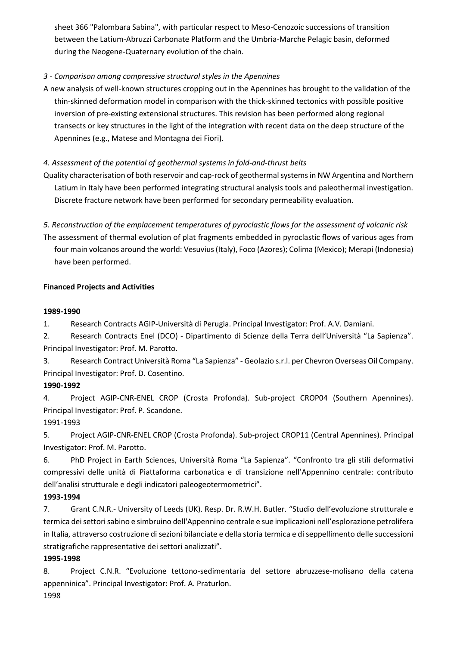sheet 366 "Palombara Sabina", with particular respect to Meso-Cenozoic successions of transition between the Latium-Abruzzi Carbonate Platform and the Umbria-Marche Pelagic basin, deformed during the Neogene-Quaternary evolution of the chain.

## *3 - Comparison among compressive structural styles in the Apennines*

A new analysis of well-known structures cropping out in the Apennines has brought to the validation of the thin-skinned deformation model in comparison with the thick-skinned tectonics with possible positive inversion of pre-existing extensional structures. This revision has been performed along regional transects or key structures in the light of the integration with recent data on the deep structure of the Apennines (e.g., Matese and Montagna dei Fiori).

## *4. Assessment of the potential of geothermal systems in fold-and-thrust belts*

Quality characterisation of both reservoir and cap-rock of geothermal systems in NW Argentina and Northern Latium in Italy have been performed integrating structural analysis tools and paleothermal investigation. Discrete fracture network have been performed for secondary permeability evaluation.

*5. Reconstruction of the emplacement temperatures of pyroclastic flows for the assessment of volcanic risk* The assessment of thermal evolution of plat fragments embedded in pyroclastic flows of various ages from four main volcanos around the world: Vesuvius (Italy), Foco (Azores); Colima (Mexico); Merapi (Indonesia) have been performed.

### **Financed Projects and Activities**

### **1989-1990**

1. Research Contracts AGIP-Università di Perugia. Principal Investigator: Prof. A.V. Damiani.

2. Research Contracts Enel (DCO) - Dipartimento di Scienze della Terra dell'Università "La Sapienza". Principal Investigator: Prof. M. Parotto.

3. Research Contract Università Roma "La Sapienza" - Geolazio s.r.l. per Chevron Overseas Oil Company. Principal Investigator: Prof. D. Cosentino.

## **1990-1992**

4. Project AGIP-CNR-ENEL CROP (Crosta Profonda). Sub-project CROP04 (Southern Apennines). Principal Investigator: Prof. P. Scandone.

## 1991-1993

5. Project AGIP-CNR-ENEL CROP (Crosta Profonda). Sub-project CROP11 (Central Apennines). Principal Investigator: Prof. M. Parotto.

6. PhD Project in Earth Sciences, Università Roma "La Sapienza". "Confronto tra gli stili deformativi compressivi delle unità di Piattaforma carbonatica e di transizione nell'Appennino centrale: contributo dell'analisi strutturale e degli indicatori paleogeotermometrici".

## **1993-1994**

7. Grant C.N.R.- University of Leeds (UK). Resp. Dr. R.W.H. Butler. "Studio dell'evoluzione strutturale e termica dei settori sabino e simbruino dell'Appennino centrale e sue implicazioni nell'esplorazione petrolifera in Italia, attraverso costruzione di sezioni bilanciate e della storia termica e di seppellimento delle successioni stratigrafiche rappresentative dei settori analizzati".

## **1995-1998**

8. Project C.N.R. "Evoluzione tettono-sedimentaria del settore abruzzese-molisano della catena appenninica". Principal Investigator: Prof. A. Praturlon.

1998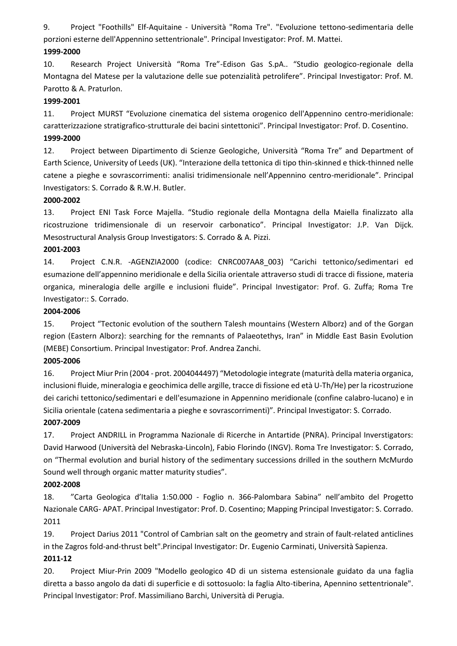9. Project "Foothills" Elf-Aquitaine - Università "Roma Tre". "Evoluzione tettono-sedimentaria delle porzioni esterne dell'Appennino settentrionale". Principal Investigator: Prof. M. Mattei.

### **1999-2000**

10. Research Project Università "Roma Tre"-Edison Gas S.pA.. "Studio geologico-regionale della Montagna del Matese per la valutazione delle sue potenzialità petrolifere". Principal Investigator: Prof. M. Parotto & A. Praturlon.

### **1999-2001**

11. Project MURST "Evoluzione cinematica del sistema orogenico dell'Appennino centro-meridionale: caratterizzazione stratigrafico-strutturale dei bacini sintettonici". Principal Investigator: Prof. D. Cosentino. **1999-2000** 

12. Project between Dipartimento di Scienze Geologiche, Università "Roma Tre" and Department of Earth Science, University of Leeds (UK). "Interazione della tettonica di tipo thin-skinned e thick-thinned nelle catene a pieghe e sovrascorrimenti: analisi tridimensionale nell'Appennino centro-meridionale". Principal Investigators: S. Corrado & R.W.H. Butler.

### **2000-2002**

13. Project ENI Task Force Majella. "Studio regionale della Montagna della Maiella finalizzato alla ricostruzione tridimensionale di un reservoir carbonatico". Principal Investigator: J.P. Van Dijck. Mesostructural Analysis Group Investigators: S. Corrado & A. Pizzi.

### **2001-2003**

14. Project C.N.R. -AGENZIA2000 (codice: CNRC007AA8\_003) "Carichi tettonico/sedimentari ed esumazione dell'appennino meridionale e della Sicilia orientale attraverso studi di tracce di fissione, materia organica, mineralogia delle argille e inclusioni fluide". Principal Investigator: Prof. G. Zuffa; Roma Tre Investigator:: S. Corrado.

### **2004-2006**

15. Project "Tectonic evolution of the southern Talesh mountains (Western Alborz) and of the Gorgan region (Eastern Alborz): searching for the remnants of Palaeotethys, Iran" in Middle East Basin Evolution (MEBE) Consortium. Principal Investigator: Prof. Andrea Zanchi.

## **2005-2006**

16. Project Miur Prin (2004 - prot. 2004044497) "Metodologie integrate (maturità della materia organica, inclusioni fluide, mineralogia e geochimica delle argille, tracce di fissione ed età U-Th/He) per la ricostruzione dei carichi tettonico/sedimentari e dell'esumazione in Appennino meridionale (confine calabro-lucano) e in Sicilia orientale (catena sedimentaria a pieghe e sovrascorrimenti)". Principal Investigator: S. Corrado.

## **2007-2009**

17. Project ANDRILL in Programma Nazionale di Ricerche in Antartide (PNRA). Principal Inverstigators: David Harwood (Università del Nebraska-Lincoln), Fabio Florindo (INGV). Roma Tre Investigator: S. Corrado, on "Thermal evolution and burial history of the sedimentary successions drilled in the southern McMurdo Sound well through organic matter maturity studies".

## **2002-2008**

18. "Carta Geologica d'Italia 1:50.000 - Foglio n. 366-Palombara Sabina" nell'ambito del Progetto Nazionale CARG- APAT. Principal Investigator: Prof. D. Cosentino; Mapping Principal Investigator: S. Corrado. 2011

19. Project Darius 2011 "Control of Cambrian salt on the geometry and strain of fault-related anticlines in the Zagros fold-and-thrust belt".Principal Investigator: Dr. Eugenio Carminati, Università Sapienza.

## **2011-12**

20. Project Miur-Prin 2009 "Modello geologico 4D di un sistema estensionale guidato da una faglia diretta a basso angolo da dati di superficie e di sottosuolo: la faglia Alto-tiberina, Apennino settentrionale". Principal Investigator: Prof. Massimiliano Barchi, Università di Perugia.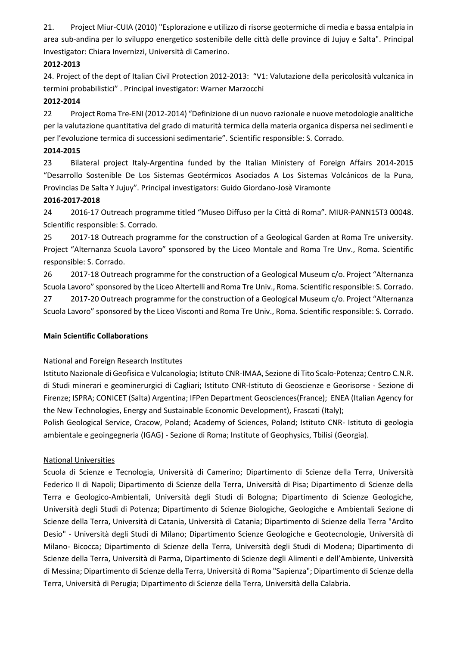21. Project Miur-CUIA (2010) "Esplorazione e utilizzo di risorse geotermiche di media e bassa entalpia in area sub-andina per lo sviluppo energetico sostenibile delle città delle province di Jujuy e Salta". Principal Investigator: Chiara Invernizzi, Università di Camerino.

### **2012-2013**

24. Project of the dept of Italian Civil Protection 2012-2013: "V1: Valutazione della pericolosità vulcanica in termini probabilistici" . Principal investigator: Warner Marzocchi

## **2012-2014**

22 Project Roma Tre-ENI (2012-2014) "Definizione di un nuovo razionale e nuove metodologie analitiche per la valutazione quantitativa del grado di maturità termica della materia organica dispersa nei sedimenti e per l'evoluzione termica di successioni sedimentarie". Scientific responsible: S. Corrado.

### **2014-2015**

23 Bilateral project Italy-Argentina funded by the Italian Ministery of Foreign Affairs 2014-2015 "Desarrollo Sostenible De Los Sistemas Geotérmicos Asociados A Los Sistemas Volcánicos de la Puna, Provincias De Salta Y Jujuy". Principal investigators: Guido Giordano-Josè Viramonte

### **2016-2017-2018**

24 2016-17 Outreach programme titled "Museo Diffuso per la Città di Roma". MIUR-PANN15T3 00048. Scientific responsible: S. Corrado.

25 2017-18 Outreach programme for the construction of a Geological Garden at Roma Tre university. Project "Alternanza Scuola Lavoro" sponsored by the Liceo Montale and Roma Tre Unv., Roma. Scientific responsible: S. Corrado.

26 2017-18 Outreach programme for the construction of a Geological Museum c/o. Project "Alternanza Scuola Lavoro" sponsored by the Liceo Altertelli and Roma Tre Univ., Roma. Scientific responsible: S. Corrado.

27 2017-20 Outreach programme for the construction of a Geological Museum c/o. Project "Alternanza Scuola Lavoro" sponsored by the Liceo Visconti and Roma Tre Univ., Roma. Scientific responsible: S. Corrado.

### **Main Scientific Collaborations**

## National and Foreign Research Institutes

Istituto Nazionale di Geofisica e Vulcanologia; Istituto CNR-IMAA, Sezione di Tito Scalo-Potenza; Centro C.N.R. di Studi minerari e geominerurgici di Cagliari; Istituto CNR-Istituto di Geoscienze e Georisorse - Sezione di Firenze; ISPRA; CONICET (Salta) Argentina; IFPen Department Geosciences(France); ENEA (Italian Agency for the New Technologies, Energy and Sustainable Economic Development), Frascati (Italy);

Polish Geological Service, Cracow, Poland; Academy of Sciences, Poland; Istituto CNR- Istituto di geologia ambientale e geoingegneria (IGAG) - Sezione di Roma; Institute of Geophysics, Tbilisi (Georgia).

### National Universities

Scuola di Scienze e Tecnologia, Università di Camerino; Dipartimento di Scienze della Terra, Università Federico II di Napoli; Dipartimento di Scienze della Terra, Università di Pisa; Dipartimento di Scienze della Terra e Geologico-Ambientali, Università degli Studi di Bologna; Dipartimento di Scienze Geologiche, Università degli Studi di Potenza; Dipartimento di Scienze Biologiche, Geologiche e Ambientali Sezione di Scienze della Terra, Università di Catania, Università di Catania; Dipartimento di Scienze della Terra "Ardito Desio" - Università degli Studi di Milano; Dipartimento Scienze Geologiche e Geotecnologie, Università di Milano- Bicocca; Dipartimento di Scienze della Terra, Università degli Studi di Modena; Dipartimento di Scienze della Terra, Università di Parma, Dipartimento di Scienze degli Alimenti e dell'Ambiente, Università di Messina; Dipartimento di Scienze della Terra, Università di Roma "Sapienza"; Dipartimento di Scienze della Terra, Università di Perugia; Dipartimento di Scienze della Terra, Università della Calabria.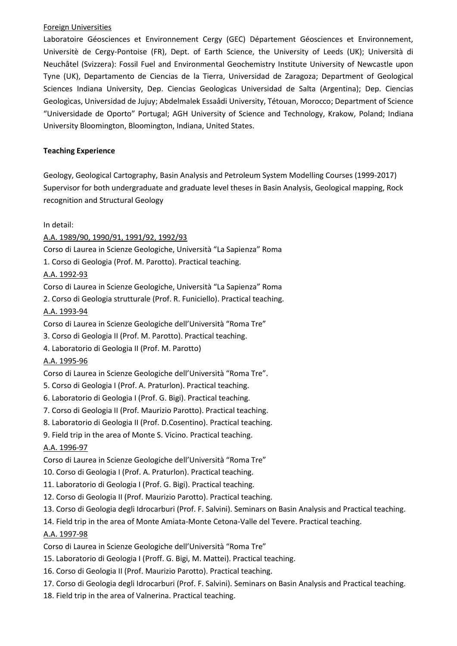### Foreign Universities

Laboratoire Géosciences et Environnement Cergy (GEC) Département Géosciences et Environnement, Universitè de Cergy-Pontoise (FR), Dept. of Earth Science, the University of Leeds (UK); Università di Neuchâtel (Svizzera): Fossil Fuel and Environmental Geochemistry Institute University of Newcastle upon Tyne (UK), Departamento de Ciencias de la Tierra, Universidad de Zaragoza; Department of Geological Sciences Indiana University, Dep. Ciencias Geologìcas Universidad de Salta (Argentina); Dep. Ciencias Geologìcas, Universidad de Jujuy; Abdelmalek Essaâdi University, Tétouan, Morocco; Department of Science "Universidade de Oporto" Portugal; AGH University of Science and Technology, Krakow, Poland; Indiana University Bloomington, Bloomington, Indiana, United States.

### **Teaching Experience**

Geology, Geological Cartography, Basin Analysis and Petroleum System Modelling Courses (1999-2017) Supervisor for both undergraduate and graduate level theses in Basin Analysis, Geological mapping, Rock recognition and Structural Geology

In detail:

## A.A. 1989/90, 1990/91, 1991/92, 1992/93

Corso di Laurea in Scienze Geologiche, Università "La Sapienza" Roma

1. Corso di Geologia (Prof. M. Parotto). Practical teaching.

### A.A. 1992-93

Corso di Laurea in Scienze Geologiche, Università "La Sapienza" Roma

2. Corso di Geologia strutturale (Prof. R. Funiciello). Practical teaching.

### A.A. 1993-94

Corso di Laurea in Scienze Geologiche dell'Università "Roma Tre"

- 3. Corso di Geologia II (Prof. M. Parotto). Practical teaching.
- 4. Laboratorio di Geologia II (Prof. M. Parotto)

## A.A. 1995-96

Corso di Laurea in Scienze Geologiche dell'Università "Roma Tre".

- 5. Corso di Geologia I (Prof. A. Praturlon). Practical teaching.
- 6. Laboratorio di Geologia I (Prof. G. Bigi). Practical teaching.
- 7. Corso di Geologia II (Prof. Maurizio Parotto). Practical teaching.
- 8. Laboratorio di Geologia II (Prof. D.Cosentino). Practical teaching.
- 9. Field trip in the area of Monte S. Vicino. Practical teaching.

## A.A. 1996-97

Corso di Laurea in Scienze Geologiche dell'Università "Roma Tre"

- 10. Corso di Geologia I (Prof. A. Praturlon). Practical teaching.
- 11. Laboratorio di Geologia I (Prof. G. Bigi). Practical teaching.
- 12. Corso di Geologia II (Prof. Maurizio Parotto). Practical teaching.
- 13. Corso di Geologia degli Idrocarburi (Prof. F. Salvini). Seminars on Basin Analysis and Practical teaching.
- 14. Field trip in the area of Monte Amiata-Monte Cetona-Valle del Tevere. Practical teaching.

## A.A. 1997-98

Corso di Laurea in Scienze Geologiche dell'Università "Roma Tre"

- 15. Laboratorio di Geologia I (Proff. G. Bigi, M. Mattei). Practical teaching.
- 16. Corso di Geologia II (Prof. Maurizio Parotto). Practical teaching.
- 17. Corso di Geologia degli Idrocarburi (Prof. F. Salvini). Seminars on Basin Analysis and Practical teaching.
- 18. Field trip in the area of Valnerina. Practical teaching.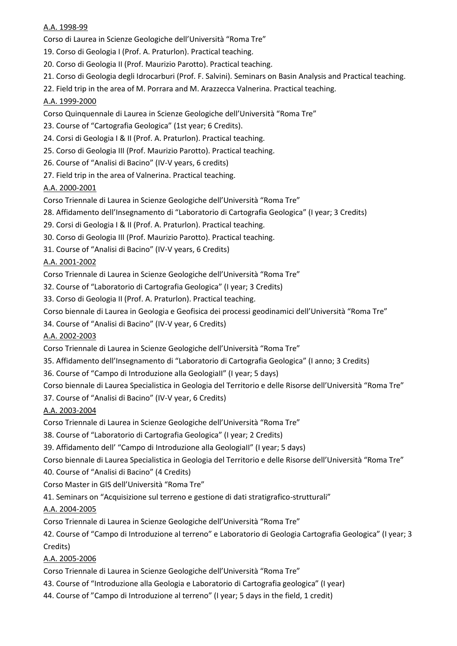### A.A. 1998-99

Corso di Laurea in Scienze Geologiche dell'Università "Roma Tre"

- 19. Corso di Geologia I (Prof. A. Praturlon). Practical teaching.
- 20. Corso di Geologia II (Prof. Maurizio Parotto). Practical teaching.
- 21. Corso di Geologia degli Idrocarburi (Prof. F. Salvini). Seminars on Basin Analysis and Practical teaching.
- 22. Field trip in the area of M. Porrara and M. Arazzecca Valnerina. Practical teaching.

## A.A. 1999-2000

Corso Quinquennale di Laurea in Scienze Geologiche dell'Università "Roma Tre"

- 23. Course of "Cartografia Geologica" (1st year; 6 Credits).
- 24. Corsi di Geologia I & II (Prof. A. Praturlon). Practical teaching.
- 25. Corso di Geologia III (Prof. Maurizio Parotto). Practical teaching.
- 26. Course of "Analisi di Bacino" (IV-V years, 6 credits)
- 27. Field trip in the area of Valnerina. Practical teaching.

# A.A. 2000-2001

- Corso Triennale di Laurea in Scienze Geologiche dell'Università "Roma Tre"
- 28. Affidamento dell'Insegnamento di "Laboratorio di Cartografia Geologica" (I year; 3 Credits)
- 29. Corsi di Geologia I & II (Prof. A. Praturlon). Practical teaching.
- 30. Corso di Geologia III (Prof. Maurizio Parotto). Practical teaching.
- 31. Course of "Analisi di Bacino" (IV-V years, 6 Credits)

# A.A. 2001-2002

Corso Triennale di Laurea in Scienze Geologiche dell'Università "Roma Tre"

- 32. Course of "Laboratorio di Cartografia Geologica" (I year; 3 Credits)
- 33. Corso di Geologia II (Prof. A. Praturlon). Practical teaching.
- Corso biennale di Laurea in Geologia e Geofisica dei processi geodinamici dell'Università "Roma Tre"
- 34. Course of "Analisi di Bacino" (IV-V year, 6 Credits)

## A.A. 2002-2003

- Corso Triennale di Laurea in Scienze Geologiche dell'Università "Roma Tre"
- 35. Affidamento dell'Insegnamento di "Laboratorio di Cartografia Geologica" (I anno; 3 Credits)
- 36. Course of "Campo di Introduzione alla GeologiaII" (I year; 5 days)

Corso biennale di Laurea Specialistica in Geologia del Territorio e delle Risorse dell'Università "Roma Tre"

37. Course of "Analisi di Bacino" (IV-V year, 6 Credits)

## A.A. 2003-2004

Corso Triennale di Laurea in Scienze Geologiche dell'Università "Roma Tre"

- 38. Course of "Laboratorio di Cartografia Geologica" (I year; 2 Credits)
- 39. Affidamento dell' "Campo di Introduzione alla GeologiaII" (I year; 5 days)

Corso biennale di Laurea Specialistica in Geologia del Territorio e delle Risorse dell'Università "Roma Tre"

- 40. Course of "Analisi di Bacino" (4 Credits)
- Corso Master in GIS dell'Università "Roma Tre"
- 41. Seminars on "Acquisizione sul terreno e gestione di dati stratigrafico-strutturali"

# A.A. 2004-2005

Corso Triennale di Laurea in Scienze Geologiche dell'Università "Roma Tre"

42. Course of "Campo di Introduzione al terreno" e Laboratorio di Geologia Cartografia Geologica" (I year; 3 Credits)

## A.A. 2005-2006

Corso Triennale di Laurea in Scienze Geologiche dell'Università "Roma Tre"

- 43. Course of "Introduzione alla Geologia e Laboratorio di Cartografia geologica" (I year)
- 44. Course of "Campo di Introduzione al terreno" (I year; 5 days in the field, 1 credit)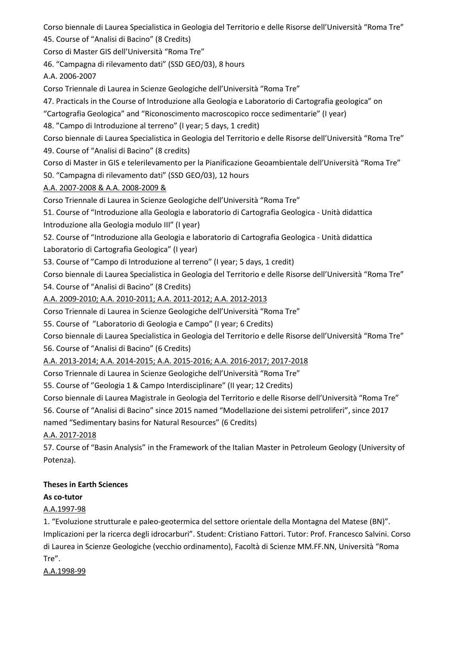Corso biennale di Laurea Specialistica in Geologia del Territorio e delle Risorse dell'Università "Roma Tre" 45. Course of "Analisi di Bacino" (8 Credits)

Corso di Master GIS dell'Università "Roma Tre"

46. "Campagna di rilevamento dati" (SSD GEO/03), 8 hours

A.A. 2006-2007

Corso Triennale di Laurea in Scienze Geologiche dell'Università "Roma Tre"

47. Practicals in the Course of Introduzione alla Geologia e Laboratorio di Cartografia geologica" on

"Cartografia Geologica" and "Riconoscimento macroscopico rocce sedimentarie" (I year)

48. "Campo di Introduzione al terreno" (I year; 5 days, 1 credit)

Corso biennale di Laurea Specialistica in Geologia del Territorio e delle Risorse dell'Università "Roma Tre" 49. Course of "Analisi di Bacino" (8 credits)

Corso di Master in GIS e telerilevamento per la Pianificazione Geoambientale dell'Università "Roma Tre"

50. "Campagna di rilevamento dati" (SSD GEO/03), 12 hours

## A.A. 2007-2008 & A.A. 2008-2009 &

Corso Triennale di Laurea in Scienze Geologiche dell'Università "Roma Tre"

51. Course of "Introduzione alla Geologia e laboratorio di Cartografia Geologica - Unità didattica

Introduzione alla Geologia modulo III" (I year)

52. Course of "Introduzione alla Geologia e laboratorio di Cartografia Geologica - Unità didattica

Laboratorio di Cartografia Geologica" (I year)

53. Course of "Campo di Introduzione al terreno" (I year; 5 days, 1 credit)

Corso biennale di Laurea Specialistica in Geologia del Territorio e delle Risorse dell'Università "Roma Tre" 54. Course of "Analisi di Bacino" (8 Credits)

A.A. 2009-2010; A.A. 2010-2011; A.A. 2011-2012; A.A. 2012-2013

Corso Triennale di Laurea in Scienze Geologiche dell'Università "Roma Tre"

55. Course of "Laboratorio di Geologia e Campo" (I year; 6 Credits)

Corso biennale di Laurea Specialistica in Geologia del Territorio e delle Risorse dell'Università "Roma Tre" 56. Course of "Analisi di Bacino" (6 Credits)

A.A. 2013-2014; A.A. 2014-2015; A.A. 2015-2016; A.A. 2016-2017; 2017-2018

Corso Triennale di Laurea in Scienze Geologiche dell'Università "Roma Tre"

55. Course of "Geologia 1 & Campo Interdisciplinare" (II year; 12 Credits)

Corso biennale di Laurea Magistrale in Geologia del Territorio e delle Risorse dell'Università "Roma Tre" 56. Course of "Analisi di Bacino" since 2015 named "Modellazione dei sistemi petroliferi", since 2017 named "Sedimentary basins for Natural Resources" (6 Credits)

# A.A. 2017-2018

57. Course of "Basin Analysis" in the Framework of the Italian Master in Petroleum Geology (University of Potenza).

# **Theses in Earth Sciences**

# **As co-tutor**

# A.A.1997-98

1. "Evoluzione strutturale e paleo-geotermica del settore orientale della Montagna del Matese (BN)". Implicazioni per la ricerca degli idrocarburi". Student: Cristiano Fattori. Tutor: Prof. Francesco Salvini. Corso di Laurea in Scienze Geologiche (vecchio ordinamento), Facoltà di Scienze MM.FF.NN, Università "Roma Tre".

A.A.1998-99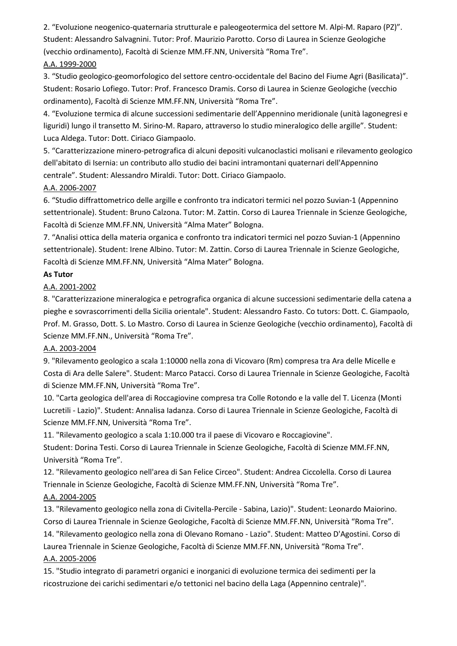2. "Evoluzione neogenico-quaternaria strutturale e paleogeotermica del settore M. Alpi-M. Raparo (PZ)". Student: Alessandro Salvagnini. Tutor: Prof. Maurizio Parotto. Corso di Laurea in Scienze Geologiche (vecchio ordinamento), Facoltà di Scienze MM.FF.NN, Università "Roma Tre".

# A.A. 1999-2000

3. "Studio geologico-geomorfologico del settore centro-occidentale del Bacino del Fiume Agri (Basilicata)". Student: Rosario Lofiego. Tutor: Prof. Francesco Dramis. Corso di Laurea in Scienze Geologiche (vecchio ordinamento), Facoltà di Scienze MM.FF.NN, Università "Roma Tre".

4. "Evoluzione termica di alcune successioni sedimentarie dell'Appennino meridionale (unità lagonegresi e liguridi) lungo il transetto M. Sirino-M. Raparo, attraverso lo studio mineralogico delle argille". Student: Luca Aldega. Tutor: Dott. Ciriaco Giampaolo.

5. "Caratterizzazione minero-petrografica di alcuni depositi vulcanoclastici molisani e rilevamento geologico dell'abitato di Isernia: un contributo allo studio dei bacini intramontani quaternari dell'Appennino centrale". Student: Alessandro Miraldi. Tutor: Dott. Ciriaco Giampaolo.

## A.A. 2006-2007

6. "Studio diffrattometrico delle argille e confronto tra indicatori termici nel pozzo Suvian-1 (Appennino settentrionale). Student: Bruno Calzona. Tutor: M. Zattin. Corso di Laurea Triennale in Scienze Geologiche, Facoltà di Scienze MM.FF.NN, Università "Alma Mater" Bologna.

7. "Analisi ottica della materia organica e confronto tra indicatori termici nel pozzo Suvian-1 (Appennino settentrionale). Student: Irene Albino. Tutor: M. Zattin. Corso di Laurea Triennale in Scienze Geologiche, Facoltà di Scienze MM.FF.NN, Università "Alma Mater" Bologna.

## **As Tutor**

A.A. 2001-2002

8. "Caratterizzazione mineralogica e petrografica organica di alcune successioni sedimentarie della catena a pieghe e sovrascorrimenti della Sicilia orientale". Student: Alessandro Fasto. Co tutors: Dott. C. Giampaolo, Prof. M. Grasso, Dott. S. Lo Mastro. Corso di Laurea in Scienze Geologiche (vecchio ordinamento), Facoltà di Scienze MM.FF.NN., Università "Roma Tre".

# A.A. 2003-2004

9. "Rilevamento geologico a scala 1:10000 nella zona di Vicovaro (Rm) compresa tra Ara delle Micelle e Costa di Ara delle Salere". Student: Marco Patacci. Corso di Laurea Triennale in Scienze Geologiche, Facoltà di Scienze MM.FF.NN, Università "Roma Tre".

10. "Carta geologica dell'area di Roccagiovine compresa tra Colle Rotondo e la valle del T. Licenza (Monti Lucretili - Lazio)". Student: Annalisa Iadanza. Corso di Laurea Triennale in Scienze Geologiche, Facoltà di Scienze MM.FF.NN, Università "Roma Tre".

11. "Rilevamento geologico a scala 1:10.000 tra il paese di Vicovaro e Roccagiovine".

Student: Dorina Testi. Corso di Laurea Triennale in Scienze Geologiche, Facoltà di Scienze MM.FF.NN, Università "Roma Tre".

12. "Rilevamento geologico nell'area di San Felice Circeo". Student: Andrea Ciccolella. Corso di Laurea Triennale in Scienze Geologiche, Facoltà di Scienze MM.FF.NN, Università "Roma Tre".

# A.A. 2004-2005

13. "Rilevamento geologico nella zona di Civitella-Percile - Sabina, Lazio)". Student: Leonardo Maiorino. Corso di Laurea Triennale in Scienze Geologiche, Facoltà di Scienze MM.FF.NN, Università "Roma Tre".

14. "Rilevamento geologico nella zona di Olevano Romano - Lazio". Student: Matteo D'Agostini. Corso di Laurea Triennale in Scienze Geologiche, Facoltà di Scienze MM.FF.NN, Università "Roma Tre".

# A.A. 2005-2006

15. "Studio integrato di parametri organici e inorganici di evoluzione termica dei sedimenti per la ricostruzione dei carichi sedimentari e/o tettonici nel bacino della Laga (Appennino centrale)".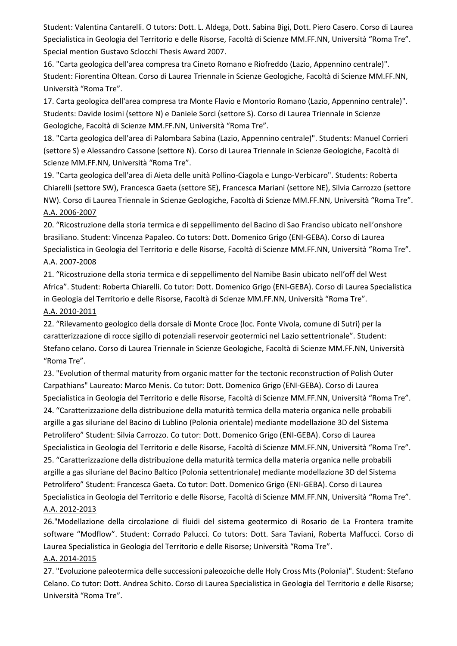Student: Valentina Cantarelli. O tutors: Dott. L. Aldega, Dott. Sabina Bigi, Dott. Piero Casero. Corso di Laurea Specialistica in Geologia del Territorio e delle Risorse, Facoltà di Scienze MM.FF.NN, Università "Roma Tre". Special mention Gustavo Sclocchi Thesis Award 2007.

16. "Carta geologica dell'area compresa tra Cineto Romano e Riofreddo (Lazio, Appennino centrale)". Student: Fiorentina Oltean. Corso di Laurea Triennale in Scienze Geologiche, Facoltà di Scienze MM.FF.NN, Università "Roma Tre".

17. Carta geologica dell'area compresa tra Monte Flavio e Montorio Romano (Lazio, Appennino centrale)". Students: Davide Iosimi (settore N) e Daniele Sorci (settore S). Corso di Laurea Triennale in Scienze Geologiche, Facoltà di Scienze MM.FF.NN, Università "Roma Tre".

18. "Carta geologica dell'area di Palombara Sabina (Lazio, Appennino centrale)". Students: Manuel Corrieri (settore S) e Alessandro Cassone (settore N). Corso di Laurea Triennale in Scienze Geologiche, Facoltà di Scienze MM.FF.NN, Università "Roma Tre".

19. "Carta geologica dell'area di Aieta delle unità Pollino-Ciagola e Lungo-Verbicaro". Students: Roberta Chiarelli (settore SW), Francesca Gaeta (settore SE), Francesca Mariani (settore NE), Silvia Carrozzo (settore NW). Corso di Laurea Triennale in Scienze Geologiche, Facoltà di Scienze MM.FF.NN, Università "Roma Tre". A.A. 2006-2007

20. "Ricostruzione della storia termica e di seppellimento del Bacino di Sao Franciso ubicato nell'onshore brasiliano. Student: Vincenza Papaleo. Co tutors: Dott. Domenico Grigo (ENI-GEBA). Corso di Laurea Specialistica in Geologia del Territorio e delle Risorse, Facoltà di Scienze MM.FF.NN, Università "Roma Tre". A.A. 2007-2008

21. "Ricostruzione della storia termica e di seppellimento del Namibe Basin ubicato nell'off del West Africa". Student: Roberta Chiarelli. Co tutor: Dott. Domenico Grigo (ENI-GEBA). Corso di Laurea Specialistica in Geologia del Territorio e delle Risorse, Facoltà di Scienze MM.FF.NN, Università "Roma Tre". A.A. 2010-2011

22. "Rilevamento geologico della dorsale di Monte Croce (loc. Fonte Vivola, comune di Sutri) per la caratterizzazione di rocce sigillo di potenziali reservoir geotermici nel Lazio settentrionale". Student: Stefano celano. Corso di Laurea Triennale in Scienze Geologiche, Facoltà di Scienze MM.FF.NN, Università "Roma Tre".

23. "Evolution of thermal maturity from organic matter for the tectonic reconstruction of Polish Outer Carpathians" Laureato: Marco Menis. Co tutor: Dott. Domenico Grigo (ENI-GEBA). Corso di Laurea Specialistica in Geologia del Territorio e delle Risorse, Facoltà di Scienze MM.FF.NN, Università "Roma Tre". 24. "Caratterizzazione della distribuzione della maturità termica della materia organica nelle probabili argille a gas siluriane del Bacino di Lublino (Polonia orientale) mediante modellazione 3D del Sistema Petrolifero" Student: Silvia Carrozzo. Co tutor: Dott. Domenico Grigo (ENI-GEBA). Corso di Laurea Specialistica in Geologia del Territorio e delle Risorse, Facoltà di Scienze MM.FF.NN, Università "Roma Tre". 25. "Caratterizzazione della distribuzione della maturità termica della materia organica nelle probabili argille a gas siluriane del Bacino Baltico (Polonia settentrionale) mediante modellazione 3D del Sistema Petrolifero" Student: Francesca Gaeta. Co tutor: Dott. Domenico Grigo (ENI-GEBA). Corso di Laurea Specialistica in Geologia del Territorio e delle Risorse, Facoltà di Scienze MM.FF.NN, Università "Roma Tre". A.A. 2012-2013

26."Modellazione della circolazione di fluidi del sistema geotermico di Rosario de La Frontera tramite software "Modflow". Student: Corrado Palucci. Co tutors: Dott. Sara Taviani, Roberta Maffucci. Corso di Laurea Specialistica in Geologia del Territorio e delle Risorse; Università "Roma Tre".

## A.A. 2014-2015

27. "Evoluzione paleotermica delle successioni paleozoiche delle Holy Cross Mts (Polonia)". Student: Stefano Celano. Co tutor: Dott. Andrea Schito. Corso di Laurea Specialistica in Geologia del Territorio e delle Risorse; Università "Roma Tre".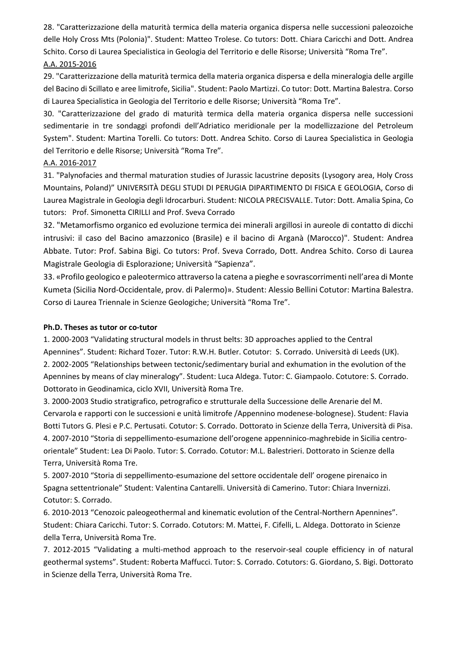28. "Caratterizzazione della maturità termica della materia organica dispersa nelle successioni paleozoiche delle Holy Cross Mts (Polonia)". Student: Matteo Trolese. Co tutors: Dott. Chiara Caricchi and Dott. Andrea Schito. Corso di Laurea Specialistica in Geologia del Territorio e delle Risorse; Università "Roma Tre". A.A. 2015-2016

29. "Caratterizzazione della maturità termica della materia organica dispersa e della mineralogia delle argille del Bacino di Scillato e aree limitrofe, Sicilia". Student: Paolo Martizzi. Co tutor: Dott. Martina Balestra. Corso di Laurea Specialistica in Geologia del Territorio e delle Risorse; Università "Roma Tre".

30. "Caratterizzazione del grado di maturità termica della materia organica dispersa nelle successioni sedimentarie in tre sondaggi profondi dell'Adriatico meridionale per la modellizzazione del Petroleum System". Student: Martina Torelli. Co tutors: Dott. Andrea Schito. Corso di Laurea Specialistica in Geologia del Territorio e delle Risorse; Università "Roma Tre".

### A.A. 2016-2017

31. "Palynofacies and thermal maturation studies of Jurassic lacustrine deposits (Lysogory area, Holy Cross Mountains, Poland)" UNIVERSITÀ DEGLI STUDI DI PERUGIA DIPARTIMENTO DI FISICA E GEOLOGIA, Corso di Laurea Magistrale in Geologia degli Idrocarburi. Student: NICOLA PRECISVALLE. Tutor: Dott. Amalia Spina, Co tutors: Prof. Simonetta CIRILLI and Prof. Sveva Corrado

32. "Metamorfismo organico ed evoluzione termica dei minerali argillosi in aureole di contatto di dicchi intrusivi: il caso del Bacino amazzonico (Brasile) e il bacino di Arganà (Marocco)". Student: Andrea Abbate. Tutor: Prof. Sabina Bigi. Co tutors: Prof. Sveva Corrado, Dott. Andrea Schito. Corso di Laurea Magistrale Geologia di Esplorazione; Università "Sapienza".

33. «Profilo geologico e paleotermico attraverso la catena a pieghe e sovrascorrimenti nell'area di Monte Kumeta (Sicilia Nord-Occidentale, prov. di Palermo)». Student: Alessio Bellini Cotutor: Martina Balestra. Corso di Laurea Triennale in Scienze Geologiche; Università "Roma Tre".

### **Ph.D. Theses as tutor or co-tutor**

1. 2000-2003 "Validating structural models in thrust belts: 3D approaches applied to the Central Apennines". Student: Richard Tozer. Tutor: R.W.H. Butler. Cotutor: S. Corrado. Università di Leeds (UK). 2. 2002-2005 "Relationships between tectonic/sedimentary burial and exhumation in the evolution of the Apennines by means of clay mineralogy". Student: Luca Aldega. Tutor: C. Giampaolo. Cotutore: S. Corrado. Dottorato in Geodinamica, ciclo XVII, Università Roma Tre.

3. 2000-2003 Studio stratigrafico, petrografico e strutturale della Successione delle Arenarie del M. Cervarola e rapporti con le successioni e unità limitrofe /Appennino modenese-bolognese). Student: Flavia Botti Tutors G. Plesi e P.C. Pertusati. Cotutor: S. Corrado. Dottorato in Scienze della Terra, Università di Pisa. 4. 2007-2010 "Storia di seppellimento-esumazione dell'orogene appenninico-maghrebide in Sicilia centroorientale" Student: Lea Di Paolo. Tutor: S. Corrado. Cotutor: M.L. Balestrieri. Dottorato in Scienze della Terra, Università Roma Tre.

5. 2007-2010 "Storia di seppellimento-esumazione del settore occidentale dell' orogene pirenaico in Spagna settentrionale" Student: Valentina Cantarelli. Università di Camerino. Tutor: Chiara Invernizzi. Cotutor: S. Corrado.

6. 2010-2013 "Cenozoic paleogeothermal and kinematic evolution of the Central-Northern Apennines". Student: Chiara Caricchi. Tutor: S. Corrado. Cotutors: M. Mattei, F. Cifelli, L. Aldega. Dottorato in Scienze della Terra, Università Roma Tre.

7. 2012-2015 "Validating a multi-method approach to the reservoir-seal couple efficiency in of natural geothermal systems". Student: Roberta Maffucci. Tutor: S. Corrado. Cotutors: G. Giordano, S. Bigi. Dottorato in Scienze della Terra, Università Roma Tre.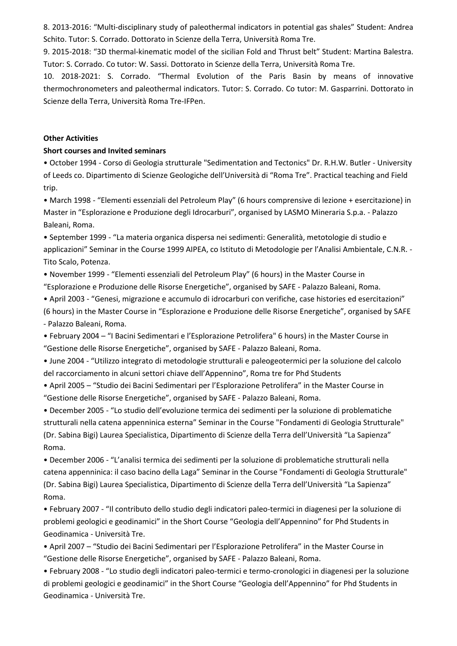8. 2013-2016: "Multi-disciplinary study of paleothermal indicators in potential gas shales" Student: Andrea Schito. Tutor: S. Corrado. Dottorato in Scienze della Terra, Università Roma Tre.

9. 2015-2018: "[3D thermal-kinematic model of the sicilian Fold and Thrust belt](https://www.researchgate.net/project/PhD-project-3D-thermal-kinematic-model-of-the-sicilian-Fold-and-Thrust-belt)" Student: Martina Balestra. Tutor: S. Corrado. Co tutor: W. Sassi. Dottorato in Scienze della Terra, Università Roma Tre.

10. 2018-2021: S. Corrado. "Thermal Evolution of the Paris Basin by means of innovative thermochronometers and paleothermal indicators. Tutor: S. Corrado. Co tutor: M. Gasparrini. Dottorato in Scienze della Terra, Università Roma Tre-IFPen.

#### **Other Activities**

### **Short courses and Invited seminars**

• October 1994 - Corso di Geologia strutturale "Sedimentation and Tectonics" Dr. R.H.W. Butler - University of Leeds co. Dipartimento di Scienze Geologiche dell'Università di "Roma Tre". Practical teaching and Field trip.

• March 1998 - "Elementi essenziali del Petroleum Play" (6 hours comprensive di lezione + esercitazione) in Master in "Esplorazione e Produzione degli Idrocarburi", organised by LASMO Mineraria S.p.a. - Palazzo Baleani, Roma.

• September 1999 - "La materia organica dispersa nei sedimenti: Generalità, metotologie di studio e applicazioni" Seminar in the Course 1999 AIPEA, co Istituto di Metodologie per l'Analisi Ambientale, C.N.R. - Tito Scalo, Potenza.

• November 1999 - "Elementi essenziali del Petroleum Play" (6 hours) in the Master Course in "Esplorazione e Produzione delle Risorse Energetiche", organised by SAFE - Palazzo Baleani, Roma.

• April 2003 - "Genesi, migrazione e accumulo di idrocarburi con verifiche, case histories ed esercitazioni" (6 hours) in the Master Course in "Esplorazione e Produzione delle Risorse Energetiche", organised by SAFE - Palazzo Baleani, Roma.

• February 2004 – "I Bacini Sedimentari e l'Esplorazione Petrolifera" 6 hours) in the Master Course in "Gestione delle Risorse Energetiche", organised by SAFE - Palazzo Baleani, Roma.

• June 2004 - "Utilizzo integrato di metodologie strutturali e paleogeotermici per la soluzione del calcolo del raccorciamento in alcuni settori chiave dell'Appennino", Roma tre for Phd Students

• April 2005 – "Studio dei Bacini Sedimentari per l'Esplorazione Petrolifera" in the Master Course in "Gestione delle Risorse Energetiche", organised by SAFE - Palazzo Baleani, Roma.

• December 2005 - "Lo studio dell'evoluzione termica dei sedimenti per la soluzione di problematiche strutturali nella catena appenninica esterna" Seminar in the Course "Fondamenti di Geologia Strutturale" (Dr. Sabina Bigi) Laurea Specialistica, Dipartimento di Scienze della Terra dell'Università "La Sapienza" Roma.

• December 2006 - "L'analisi termica dei sedimenti per la soluzione di problematiche strutturali nella catena appenninica: il caso bacino della Laga" Seminar in the Course "Fondamenti di Geologia Strutturale" (Dr. Sabina Bigi) Laurea Specialistica, Dipartimento di Scienze della Terra dell'Università "La Sapienza" Roma.

• February 2007 - "Il contributo dello studio degli indicatori paleo-termici in diagenesi per la soluzione di problemi geologici e geodinamici" in the Short Course "Geologia dell'Appennino" for Phd Students in Geodinamica - Università Tre.

• April 2007 – "Studio dei Bacini Sedimentari per l'Esplorazione Petrolifera" in the Master Course in "Gestione delle Risorse Energetiche", organised by SAFE - Palazzo Baleani, Roma.

• February 2008 - "Lo studio degli indicatori paleo-termici e termo-cronologici in diagenesi per la soluzione di problemi geologici e geodinamici" in the Short Course "Geologia dell'Appennino" for Phd Students in Geodinamica - Università Tre.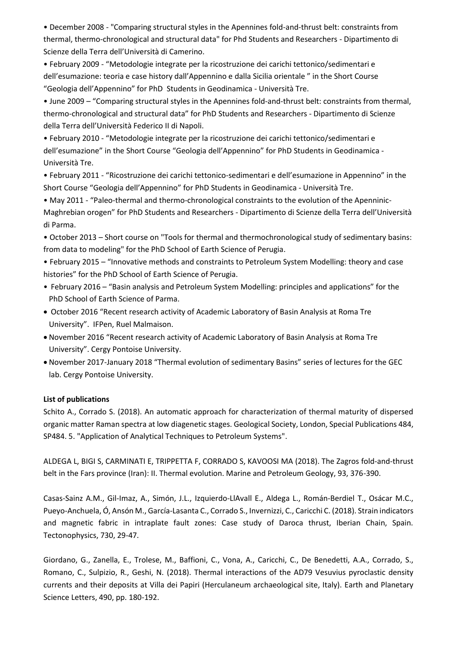• December 2008 - "Comparing structural styles in the Apennines fold-and-thrust belt: constraints from thermal, thermo-chronological and structural data" for Phd Students and Researchers - Dipartimento di Scienze della Terra dell'Università di Camerino.

• February 2009 - "Metodologie integrate per la ricostruzione dei carichi tettonico/sedimentari e dell'esumazione: teoria e case history dall'Appennino e dalla Sicilia orientale " in the Short Course "Geologia dell'Appennino" for PhD Students in Geodinamica - Università Tre.

• June 2009 – "Comparing structural styles in the Apennines fold-and-thrust belt: constraints from thermal, thermo-chronological and structural data" for PhD Students and Researchers - Dipartimento di Scienze della Terra dell'Università Federico II di Napoli.

• February 2010 - "Metodologie integrate per la ricostruzione dei carichi tettonico/sedimentari e dell'esumazione" in the Short Course "Geologia dell'Appennino" for PhD Students in Geodinamica - Università Tre.

• February 2011 - "Ricostruzione dei carichi tettonico-sedimentari e dell'esumazione in Appennino" in the Short Course "Geologia dell'Appennino" for PhD Students in Geodinamica - Università Tre.

• May 2011 - "Paleo-thermal and thermo-chronological constraints to the evolution of the Apenninic-Maghrebian orogen" for PhD Students and Researchers - Dipartimento di Scienze della Terra dell'Università di Parma.

• October 2013 – Short course on "Tools for thermal and thermochronological study of sedimentary basins: from data to modeling" for the PhD School of Earth Science of Perugia.

• February 2015 – "Innovative methods and constraints to Petroleum System Modelling: theory and case histories" for the PhD School of Earth Science of Perugia.

- February 2016 "Basin analysis and Petroleum System Modelling: principles and applications" for the PhD School of Earth Science of Parma.
- October 2016 "Recent research activity of Academic Laboratory of Basin Analysis at Roma Tre University". IFPen, Ruel Malmaison.
- November 2016 "Recent research activity of Academic Laboratory of Basin Analysis at Roma Tre University". Cergy Pontoise University.
- November 2017-January 2018 "Thermal evolution of sedimentary Basins" series of lectures for the GEC lab. Cergy Pontoise University.

### **List of publications**

Schito A., Corrado S. (2018). An automatic approach for characterization of thermal maturity of dispersed organic matter Raman spectra at low diagenetic stages. Geological Society, London, Special Publications 484, SP484. 5. "Application of Analytical Techniques to Petroleum Systems".

ALDEGA L, BIGI S, CARMINATI E, TRIPPETTA F, CORRADO S, KAVOOSI MA (2018). The Zagros fold-and-thrust belt in the Fars province (Iran): II. Thermal evolution. Marine and Petroleum Geology, 93, 376-390.

Casas-Sainz A.M., Gil-Imaz, A., Simón, J.L., Izquierdo-LlAvall E., Aldega L., Román-Berdiel T., Osácar M.C., Pueyo-Anchuela, Ó, Ansón M., García-Lasanta C., Corrado S., Invernizzi, C., Caricchi C. (2018). Strain indicators and magnetic fabric in intraplate fault zones: Case study of Daroca thrust, Iberian Chain, Spain. Tectonophysics, 730, 29-47.

Giordano, G., Zanella, E., Trolese, M., Baffioni, C., Vona, A., Caricchi, C., De Benedetti, A.A., Corrado, S., Romano, C., Sulpizio, R., Geshi, N. (2018). Thermal interactions of the AD79 Vesuvius pyroclastic density currents and their deposits at Villa dei Papiri (Herculaneum archaeological site, Italy). Earth and Planetary Science Letters, 490, pp. 180-192.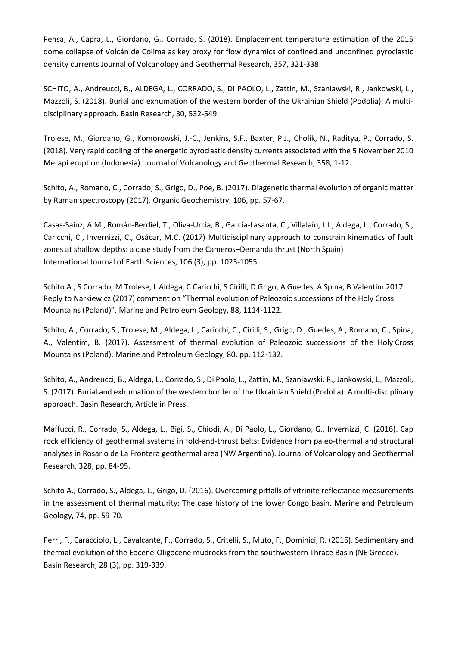Pensa, A., Capra, L., Giordano, G., Corrado, S. (2018). Emplacement temperature estimation of the 2015 dome collapse of Volcán de Colima as key proxy for flow dynamics of confined and unconfined pyroclastic density currents Journal of Volcanology and Geothermal Research, 357, 321-338.

SCHITO, A., Andreucci, B., ALDEGA, L., CORRADO, S., DI PAOLO, L., Zattin, M., Szaniawski, R., Jankowski, L., Mazzoli, S. (2018). Burial and exhumation of the western border of the Ukrainian Shield (Podolia): A multidisciplinary approach. Basin Research, 30, 532-549.

Trolese, M., Giordano, G., Komorowski, J.-C., Jenkins, S.F., Baxter, P.J., Cholik, N., Raditya, P., Corrado, S. (2018). Very rapid cooling of the energetic pyroclastic density currents associated with the 5 November 2010 Merapi eruption (Indonesia). Journal of Volcanology and Geothermal Research, 358, 1-12.

Schito, A., Romano, C., Corrado, S., Grigo, D., Poe, B. (2017). Diagenetic thermal evolution of organic matter by Raman spectroscopy (2017). Organic Geochemistry, 106, pp. 57-67.

Casas-Sainz, A.M., Román-Berdiel, T., Oliva-Urcia, B., García-Lasanta, C., Villalaín, J.J., Aldega, L., Corrado, S., Caricchi, C., Invernizzi, C., Osácar, M.C. (2017) Multidisciplinary approach to constrain kinematics of fault zones at shallow depths: a case study from the Cameros–Demanda thrust (North Spain) International Journal of Earth Sciences, 106 (3), pp. 1023-1055.

Schito A., S Corrado, M Trolese, L Aldega, C Caricchi, S Cirilli, D Grigo, A Guedes, A Spina, B Valentim 2017. [Reply to Narkiewicz \(2017\) comment on "Thermal evolution of Paleozoic successions](https://www.sciencedirect.com/science/article/pii/S0264817217302738) of the Holy Cross [Mountains \(Poland\)"](https://www.sciencedirect.com/science/article/pii/S0264817217302738). Marine and Petroleum Geology, 88, 1114-1122.

Schito, A., Corrado, S., Trolese, M., Aldega, L., Caricchi, C., Cirilli, S., Grigo, D., Guedes, A., Romano, C., Spina, A., Valentim, B. (2017). Assessment of thermal evolution of Paleozoic successions of the Holy Cross Mountains (Poland). Marine and Petroleum Geology, 80, pp. 112-132.

Schito, A., Andreucci, B., Aldega, L., Corrado, S., Di Paolo, L., Zattin, M., Szaniawski, R., Jankowski, L., Mazzoli, S. (2017). Burial and exhumation of the western border of the Ukrainian Shield (Podolia): A multi-disciplinary approach. Basin Research, Article in Press.

Maffucci, R., Corrado, S., Aldega, L., Bigi, S., Chiodi, A., Di Paolo, L., Giordano, G., Invernizzi, C. (2016). Cap rock efficiency of geothermal systems in fold-and-thrust belts: Evidence from paleo-thermal and structural analyses in Rosario de La Frontera geothermal area (NW Argentina). Journal of Volcanology and Geothermal Research, 328, pp. 84-95.

Schito A., Corrado, S., Aldega, L., Grigo, D. (2016). Overcoming pitfalls of vitrinite reflectance measurements in the assessment of thermal maturity: The case history of the lower Congo basin. Marine and Petroleum Geology, 74, pp. 59-70.

Perri, F., Caracciolo, L., Cavalcante, F., Corrado, S., Critelli, S., Muto, F., Dominici, R. (2016). Sedimentary and thermal evolution of the Eocene-Oligocene mudrocks from the southwestern Thrace Basin (NE Greece). Basin Research, 28 (3), pp. 319-339.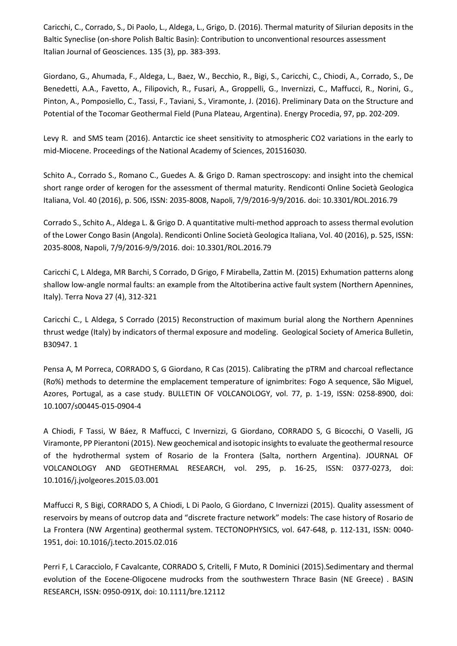Caricchi, C., Corrado, S., Di Paolo, L., Aldega, L., Grigo, D. (2016). Thermal maturity of Silurian deposits in the Baltic Syneclise (on-shore Polish Baltic Basin): Contribution to unconventional resources assessment Italian Journal of Geosciences. 135 (3), pp. 383-393.

Giordano, G., Ahumada, F., Aldega, L., Baez, W., Becchio, R., Bigi, S., Caricchi, C., Chiodi, A., Corrado, S., De Benedetti, A.A., Favetto, A., Filipovich, R., Fusari, A., Groppelli, G., Invernizzi, C., Maffucci, R., Norini, G., Pinton, A., Pomposiello, C., Tassi, F., Taviani, S., Viramonte, J. (2016). Preliminary Data on the Structure and Potential of the Tocomar Geothermal Field (Puna Plateau, Argentina). Energy Procedia, 97, pp. 202-209.

Levy R. and SMS team (2016). Antarctic ice sheet sensitivity to atmospheric CO2 variations in the early to mid-Miocene. Proceedings of the National Academy of Sciences, 201516030.

Schito A., Corrado S., Romano C., Guedes A. & Grigo D. Raman spectroscopy: and insight into the chemical short range order of kerogen for the assessment of thermal maturity. Rendiconti Online Società Geologica Italiana, Vol. 40 (2016), p. 506, ISSN: 2035-8008, Napoli, 7/9/2016-9/9/2016. doi: 10.3301/ROL.2016.79

Corrado S., Schito A., Aldega L. & Grigo D. A quantitative multi-method approach to assess thermal evolution of the Lower Congo Basin (Angola). Rendiconti Online Società Geologica Italiana, Vol. 40 (2016), p. 525, ISSN: 2035-8008, Napoli, 7/9/2016-9/9/2016. doi: 10.3301/ROL.2016.79

[Caricchi C, L Aldega, MR Barchi, S Corrado, D Grigo, F Mirabella, Zattin M. \(2015\)](https://scholar.google.it/citations?view_op=view_citation&hl=en&user=M_pRf80AAAAJ&sortby=pubdate&citation_for_view=M_pRf80AAAAJ:SP6oXDckpogC) Exhumation patterns along [shallow low-angle normal faults: an example from the Altotiberina active fault system \(Northern Apennines,](https://scholar.google.it/citations?view_op=view_citation&hl=en&user=M_pRf80AAAAJ&sortby=pubdate&citation_for_view=M_pRf80AAAAJ:SP6oXDckpogC)  [Italy\).](https://scholar.google.it/citations?view_op=view_citation&hl=en&user=M_pRf80AAAAJ&sortby=pubdate&citation_for_view=M_pRf80AAAAJ:SP6oXDckpogC) Terra Nova 27 (4), 312-321

Caricchi C., L Aldega, S Corrado (2015) [Reconstruction of maximum burial along the Northern Apennines](https://scholar.google.it/citations?view_op=view_citation&hl=en&user=M_pRf80AAAAJ&sortby=pubdate&citation_for_view=M_pRf80AAAAJ:dfsIfKJdRG4C)  [thrust wedge \(Italy\) by indicators of thermal exposure and modeling.](https://scholar.google.it/citations?view_op=view_citation&hl=en&user=M_pRf80AAAAJ&sortby=pubdate&citation_for_view=M_pRf80AAAAJ:dfsIfKJdRG4C) Geological Society of America Bulletin, B30947. 1

Pensa A, M Porreca, CORRADO S, G Giordano, R Cas (2015). Calibrating the pTRM and charcoal reflectance (Ro%) methods to determine the emplacement temperature of ignimbrites: Fogo A sequence, São Miguel, Azores, Portugal, as a case study. BULLETIN OF VOLCANOLOGY, vol. 77, p. 1-19, ISSN: 0258-8900, doi: 10.1007/s00445-015-0904-4

A Chiodi, F Tassi, W Báez, R Maffucci, C Invernizzi, G Giordano, CORRADO S, G Bicocchi, O Vaselli, JG Viramonte, PP Pierantoni (2015). New geochemical and isotopic insights to evaluate the geothermal resource of the hydrothermal system of Rosario de la Frontera (Salta, northern Argentina). JOURNAL OF VOLCANOLOGY AND GEOTHERMAL RESEARCH, vol. 295, p. 16-25, ISSN: 0377-0273, doi: 10.1016/j.jvolgeores.2015.03.001

Maffucci R, S Bigi, CORRADO S, A Chiodi, L Di Paolo, G Giordano, C Invernizzi (2015). Quality assessment of reservoirs by means of outcrop data and "discrete fracture network" models: The case history of Rosario de La Frontera (NW Argentina) geothermal system. TECTONOPHYSICS, vol. 647-648, p. 112-131, ISSN: 0040- 1951, doi: 10.1016/j.tecto.2015.02.016

Perri F, L Caracciolo, F Cavalcante, CORRADO S, Critelli, F Muto, R Dominici (2015).Sedimentary and thermal evolution of the Eocene-Oligocene mudrocks from the southwestern Thrace Basin (NE Greece) . BASIN RESEARCH, ISSN: 0950-091X, doi: 10.1111/bre.12112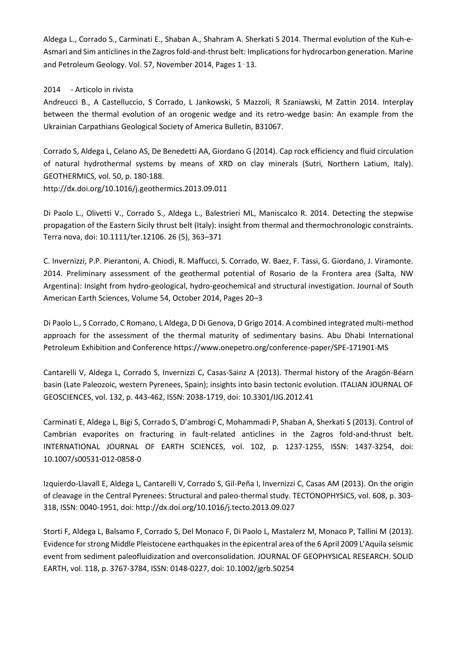[Aldega](http://www.sciencedirect.com/science/article/pii/S0264817214001585) L., Corrado S., Carminati E., Shaban A., [Shahram A. Sherkati](http://www.sciencedirect.com/science/article/pii/S0264817214001585) S 2014. Thermal evolution of the Kuh-e-Asmari and Sim anticlines in the Zagros fold-and-thrust belt: Implications for hydrocarbon generation[. Marine](http://www.sciencedirect.com/science/journal/02648172)  [and Petroleum Geology.](http://www.sciencedirect.com/science/journal/02648172) [Vol.](http://www.sciencedirect.com/science/journal/02648172/57/supp/C) 57, November 2014, Pages 1–13.

#### 2014 - Articolo in rivista

Andreucci B., A Castelluccio, S Corrado, L Jankowski, S Mazzoli, R Szaniawski, M Zattin 2014. Interplay between the thermal evolution of an orogenic wedge and its retro-wedge basin: An example from the Ukrainian Carpathians Geological Society of America Bulletin, B31067.

Corrado S, Aldega L, Celano AS, De Benedetti AA, Giordano G (2014). Cap rock efficiency and fluid circulation of natural hydrothermal systems by means of XRD on clay minerals (Sutri, Northern Latium, Italy). GEOTHERMICS, vol. 50, p. 180-188. http://dx.doi.org/10.1016/j.geothermics.2013.09.011

Di Paolo L., Olivetti V., Corrado S., Aldega L., Balestrieri ML, Maniscalco R. 2014. Detecting the stepwise propagation of the Eastern Sicily thrust belt (Italy): insight from thermal and thermochronologic constraints. Terra nova, doi: 10.1111/ter.12106. 26 (5), 363–371

C. Invernizzi, P.P. Pierantoni, A. Chiodi, R. Maffucci, S. Corrado, W. Baez, F. Tassi, G. Giordano, J. Viramonte. 2014. Preliminary assessment of the geothermal potential of Rosario de la Frontera area (Salta, NW Argentina): Insight from hydro-geological, hydro-geochemical and structural investigation. Journal of South American Earth Sciences, Volume 54, October 2014, Pages 20–3

Di Paolo L., S Corrado, C Romano, L Aldega, D Di Genova, D Grigo 2014[. A combined integrated multi-method](https://scholar.google.it/citations?view_op=view_citation&hl=en&user=M_pRf80AAAAJ&sortby=pubdate&citation_for_view=M_pRf80AAAAJ:yD5IFk8b50cC)  [approach for the assessment of the thermal maturity of sedimentary basins.](https://scholar.google.it/citations?view_op=view_citation&hl=en&user=M_pRf80AAAAJ&sortby=pubdate&citation_for_view=M_pRf80AAAAJ:yD5IFk8b50cC) Abu Dhabi International Petroleum Exhibition and Conference https://www.onepetro.org/conference-paper/SPE-171901-MS

Cantarelli V, Aldega L, Corrado S, Invernizzi C, Casas-Sainz A (2013). Thermal history of the Aragón-Béarn basin (Late Paleozoic, western Pyrenees, Spain); insights into basin tectonic evolution. ITALIAN JOURNAL OF GEOSCIENCES, vol. 132, p. 443-462, ISSN: 2038-1719, doi: 10.3301/IJG.2012.41

Carminati E, Aldega L, Bigi S, Corrado S, D'ambrogi C, Mohammadi P, Shaban A, Sherkati S (2013). Control of Cambrian evaporites on fracturing in fault-related anticlines in the Zagros fold-and-thrust belt. INTERNATIONAL JOURNAL OF EARTH SCIENCES, vol. 102, p. 1237-1255, ISSN: 1437-3254, doi: 10.1007/s00531-012-0858-0

Izquierdo-Llavall E, Aldega L, Cantarelli V, Corrado S, Gil-Peña I, Invernizzi C, Casas AM (2013). On the origin of cleavage in the Central Pyrenees: Structural and paleo-thermal study. TECTONOPHYSICS, vol. 608, p. 303- 318, ISSN: 0040-1951, doi: http://dx.doi.org/10.1016/j.tecto.2013.09.027

Storti F, Aldega L, Balsamo F, Corrado S, Del Monaco F, Di Paolo L, Mastalerz M, Monaco P, Tallini M (2013). Evidence for strong Middle Pleistocene earthquakes in the epicentral area of the 6 April 2009 L'Aquila seismic event from sediment paleofluidization and overconsolidation. JOURNAL OF GEOPHYSICAL RESEARCH. SOLID EARTH, vol. 118, p. 3767-3784, ISSN: 0148-0227, doi: 10.1002/jgrb.50254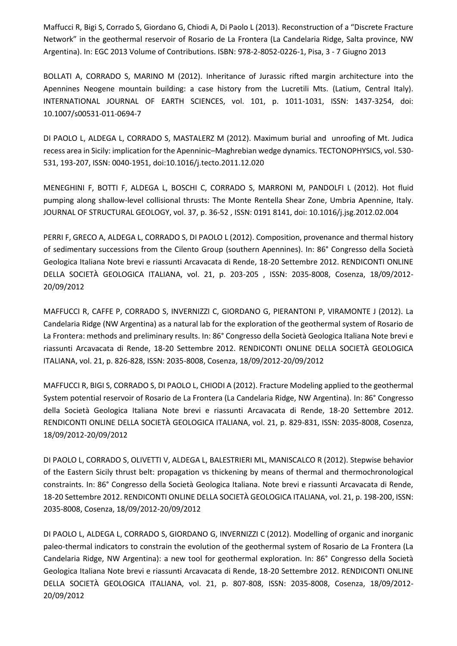Maffucci R, Bigi S, Corrado S, Giordano G, Chiodi A, Di Paolo L (2013). Reconstruction of a "Discrete Fracture Network" in the geothermal reservoir of Rosario de La Frontera (La Candelaria Ridge, Salta province, NW Argentina). In: EGC 2013 Volume of Contributions. ISBN: 978-2-8052-0226-1, Pisa, 3 - 7 Giugno 2013

BOLLATI A, CORRADO S, MARINO M (2012). Inheritance of Jurassic rifted margin architecture into the Apennines Neogene mountain building: a case history from the Lucretili Mts. (Latium, Central Italy). INTERNATIONAL JOURNAL OF EARTH SCIENCES, vol. 101, p. 1011-1031, ISSN: 1437-3254, doi: 10.1007/s00531-011-0694-7

DI PAOLO L, ALDEGA L, CORRADO S, MASTALERZ M (2012). Maximum burial and unroofing of Mt. Judica recess area in Sicily: implication for the Apenninic–Maghrebian wedge dynamics. TECTONOPHYSICS, vol. 530- 531, 193-207, ISSN: 0040-1951, doi:10.1016/j.tecto.2011.12.020

MENEGHINI F, BOTTI F, ALDEGA L, BOSCHI C, CORRADO S, MARRONI M, PANDOLFI L (2012). Hot fluid pumping along shallow-level collisional thrusts: The Monte Rentella Shear Zone, Umbria Apennine, Italy. JOURNAL OF STRUCTURAL GEOLOGY, vol. 37, p. 36-52 , ISSN: 0191 8141, doi: 10.1016/j.jsg.2012.02.004

PERRI F, GRECO A, ALDEGA L, CORRADO S, DI PAOLO L (2012). Composition, provenance and thermal history of sedimentary successions from the Cilento Group (southern Apennines). In: 86° Congresso della Società Geologica Italiana Note brevi e riassunti Arcavacata di Rende, 18-20 Settembre 2012. RENDICONTI ONLINE DELLA SOCIETÀ GEOLOGICA ITALIANA, vol. 21, p. 203-205 , ISSN: 2035-8008, Cosenza, 18/09/2012- 20/09/2012

MAFFUCCI R, CAFFE P, CORRADO S, INVERNIZZI C, GIORDANO G, PIERANTONI P, VIRAMONTE J (2012). La Candelaria Ridge (NW Argentina) as a natural lab for the exploration of the geothermal system of Rosario de La Frontera: methods and preliminary results. In: 86° Congresso della Società Geologica Italiana Note brevi e riassunti Arcavacata di Rende, 18-20 Settembre 2012. RENDICONTI ONLINE DELLA SOCIETÀ GEOLOGICA ITALIANA, vol. 21, p. 826-828, ISSN: 2035-8008, Cosenza, 18/09/2012-20/09/2012

MAFFUCCI R, BIGI S, CORRADO S, DI PAOLO L, CHIODI A (2012). Fracture Modeling applied to the geothermal System potential reservoir of Rosario de La Frontera (La Candelaria Ridge, NW Argentina). In: 86° Congresso della Società Geologica Italiana Note brevi e riassunti Arcavacata di Rende, 18-20 Settembre 2012. RENDICONTI ONLINE DELLA SOCIETÀ GEOLOGICA ITALIANA, vol. 21, p. 829-831, ISSN: 2035-8008, Cosenza, 18/09/2012-20/09/2012

DI PAOLO L, CORRADO S, OLIVETTI V, ALDEGA L, BALESTRIERI ML, MANISCALCO R (2012). Stepwise behavior of the Eastern Sicily thrust belt: propagation vs thickening by means of thermal and thermochronological constraints. In: 86° Congresso della Società Geologica Italiana. Note brevi e riassunti Arcavacata di Rende, 18-20 Settembre 2012. RENDICONTI ONLINE DELLA SOCIETÀ GEOLOGICA ITALIANA, vol. 21, p. 198-200, ISSN: 2035-8008, Cosenza, 18/09/2012-20/09/2012

DI PAOLO L, ALDEGA L, CORRADO S, GIORDANO G, INVERNIZZI C (2012). Modelling of organic and inorganic paleo-thermal indicators to constrain the evolution of the geothermal system of Rosario de La Frontera (La Candelaria Ridge, NW Argentina): a new tool for geothermal exploration. In: 86° Congresso della Società Geologica Italiana Note brevi e riassunti Arcavacata di Rende, 18-20 Settembre 2012. RENDICONTI ONLINE DELLA SOCIETÀ GEOLOGICA ITALIANA, vol. 21, p. 807-808, ISSN: 2035-8008, Cosenza, 18/09/2012- 20/09/2012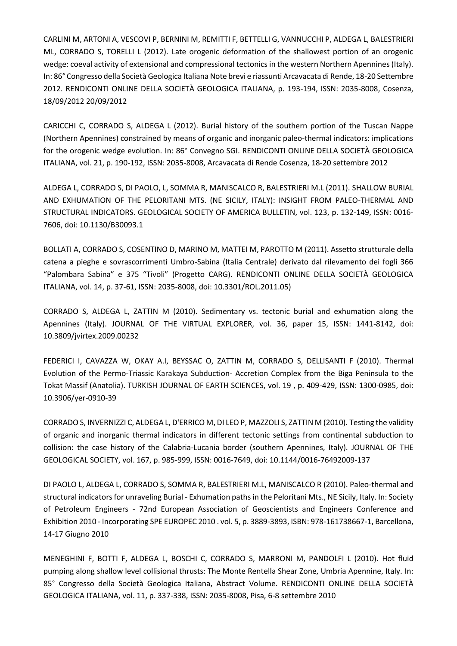CARLINI M, ARTONI A, VESCOVI P, BERNINI M, REMITTI F, BETTELLI G, VANNUCCHI P, ALDEGA L, BALESTRIERI ML, CORRADO S, TORELLI L (2012). Late orogenic deformation of the shallowest portion of an orogenic wedge: coeval activity of extensional and compressional tectonics in the western Northern Apennines (Italy). In: 86° Congresso della Società Geologica Italiana Note brevi e riassunti Arcavacata di Rende, 18-20 Settembre 2012. RENDICONTI ONLINE DELLA SOCIETÀ GEOLOGICA ITALIANA, p. 193-194, ISSN: 2035-8008, Cosenza, 18/09/2012 20/09/2012

CARICCHI C, CORRADO S, ALDEGA L (2012). Burial history of the southern portion of the Tuscan Nappe (Northern Apennines) constrained by means of organic and inorganic paleo‐thermal indicators: implications for the orogenic wedge evolution. In: 86° Convegno SGI. RENDICONTI ONLINE DELLA SOCIETÀ GEOLOGICA ITALIANA, vol. 21, p. 190-192, ISSN: 2035-8008, Arcavacata di Rende Cosenza, 18-20 settembre 2012

ALDEGA L, CORRADO S, DI PAOLO, L, SOMMA R, MANISCALCO R, BALESTRIERI M.L (2011). SHALLOW BURIAL AND EXHUMATION OF THE PELORITANI MTS. (NE SICILY, ITALY): INSIGHT FROM PALEO-THERMAL AND STRUCTURAL INDICATORS. GEOLOGICAL SOCIETY OF AMERICA BULLETIN, vol. 123, p. 132-149, ISSN: 0016- 7606, doi: 10.1130/B30093.1

BOLLATI A, CORRADO S, COSENTINO D, MARINO M, MATTEI M, PAROTTO M (2011). Assetto strutturale della catena a pieghe e sovrascorrimenti Umbro-Sabina (Italia Centrale) derivato dal rilevamento dei fogli 366 "Palombara Sabina" e 375 "Tivoli" (Progetto CARG). RENDICONTI ONLINE DELLA SOCIETÀ GEOLOGICA ITALIANA, vol. 14, p. 37-61, ISSN: 2035-8008, doi: 10.3301/ROL.2011.05)

CORRADO S, ALDEGA L, ZATTIN M (2010). Sedimentary vs. tectonic burial and exhumation along the Apennines (Italy). JOURNAL OF THE VIRTUAL EXPLORER, vol. 36, paper 15, ISSN: 1441-8142, doi: 10.3809/jvirtex.2009.00232

FEDERICI I, CAVAZZA W, OKAY A.I, BEYSSAC O, ZATTIN M, CORRADO S, DELLISANTI F (2010). Thermal Evolution of the Permo-Triassic Karakaya Subduction- Accretion Complex from the Biga Peninsula to the Tokat Massif (Anatolia). TURKISH JOURNAL OF EARTH SCIENCES, vol. 19 , p. 409-429, ISSN: 1300-0985, doi: 10.3906/yer-0910-39

CORRADO S, INVERNIZZI C, ALDEGA L, D'ERRICO M, DI LEO P, MAZZOLI S, ZATTIN M (2010). Testing the validity of organic and inorganic thermal indicators in different tectonic settings from continental subduction to collision: the case history of the Calabria-Lucania border (southern Apennines, Italy). JOURNAL OF THE GEOLOGICAL SOCIETY, vol. 167, p. 985-999, ISSN: 0016-7649, doi: 10.1144/0016-76492009-137

DI PAOLO L, ALDEGA L, CORRADO S, SOMMA R, BALESTRIERI M.L, MANISCALCO R (2010). Paleo-thermal and structural indicators for unraveling Burial - Exhumation paths in the Peloritani Mts., NE Sicily, Italy. In: Society of Petroleum Engineers - 72nd European Association of Geoscientists and Engineers Conference and Exhibition 2010 - Incorporating SPE EUROPEC 2010 . vol. 5, p. 3889-3893, ISBN: 978-161738667-1, Barcellona, 14-17 Giugno 2010

MENEGHINI F, BOTTI F, ALDEGA L, BOSCHI C, CORRADO S, MARRONI M, PANDOLFI L (2010). Hot fluid pumping along shallow level collisional thrusts: The Monte Rentella Shear Zone, Umbria Apennine, Italy. In: 85° Congresso della Società Geologica Italiana, Abstract Volume. RENDICONTI ONLINE DELLA SOCIETÀ GEOLOGICA ITALIANA, vol. 11, p. 337-338, ISSN: 2035-8008, Pisa, 6-8 settembre 2010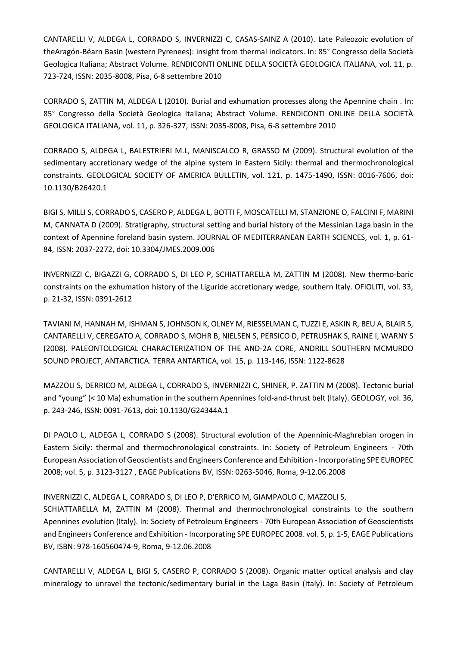CANTARELLI V, ALDEGA L, CORRADO S, INVERNIZZI C, CASAS-SAINZ A (2010). Late Paleozoic evolution of theAragón-Béarn Basin (western Pyrenees): insight from thermal indicators. In: 85° Congresso della Società Geologica Italiana; Abstract Volume. RENDICONTI ONLINE DELLA SOCIETÀ GEOLOGICA ITALIANA, vol. 11, p. 723-724, ISSN: 2035-8008, Pisa, 6-8 settembre 2010

CORRADO S, ZATTIN M, ALDEGA L (2010). Burial and exhumation processes along the Apennine chain . In: 85° Congresso della Società Geologica Italiana; Abstract Volume. RENDICONTI ONLINE DELLA SOCIETÀ GEOLOGICA ITALIANA, vol. 11, p. 326-327, ISSN: 2035-8008, Pisa, 6-8 settembre 2010

CORRADO S, ALDEGA L, BALESTRIERI M.L, MANISCALCO R, GRASSO M (2009). Structural evolution of the sedimentary accretionary wedge of the alpine system in Eastern Sicily: thermal and thermochronological constraints. GEOLOGICAL SOCIETY OF AMERICA BULLETIN, vol. 121, p. 1475-1490, ISSN: 0016-7606, doi: 10.1130/B26420.1

BIGI S, MILLI S, CORRADO S, CASERO P, ALDEGA L, BOTTI F, MOSCATELLI M, STANZIONE O, FALCINI F, MARINI M, CANNATA D (2009). Stratigraphy, structural setting and burial history of the Messinian Laga basin in the context of Apennine foreland basin system. JOURNAL OF MEDITERRANEAN EARTH SCIENCES, vol. 1, p. 61- 84, ISSN: 2037-2272, doi: 10.3304/JMES.2009.006

INVERNIZZI C, BIGAZZI G, CORRADO S, DI LEO P, SCHIATTARELLA M, ZATTIN M (2008). New thermo-baric constraints on the exhumation history of the Liguride accretionary wedge, southern Italy. OFIOLITI, vol. 33, p. 21-32, ISSN: 0391-2612

TAVIANI M, HANNAH M, ISHMAN S, JOHNSON K, OLNEY M, RIESSELMAN C, TUZZI E, ASKIN R, BEU A, BLAIR S, CANTARELLI V, CEREGATO A, CORRADO S, MOHR B, NIELSEN S, PERSICO D, PETRUSHAK S, RAINE I, WARNY S (2008). PALEONTOLOGICAL CHARACTERIZATION OF THE AND-2A CORE, ANDRILL SOUTHERN MCMURDO SOUND PROJECT, ANTARCTICA. TERRA ANTARTICA, vol. 15, p. 113-146, ISSN: 1122-8628

MAZZOLI S, DERRICO M, ALDEGA L, CORRADO S, INVERNIZZI C, SHINER, P. ZATTIN M (2008). Tectonic burial and "young" (< 10 Ma) exhumation in the southern Apennines fold-and-thrust belt (Italy). GEOLOGY, vol. 36, p. 243-246, ISSN: 0091-7613, doi: 10.1130/G24344A.1

DI PAOLO L, ALDEGA L, CORRADO S (2008). Structural evolution of the Apenninic-Maghrebian orogen in Eastern Sicily: thermal and thermochronological constraints. In: Society of Petroleum Engineers - 70th European Association of Geoscientists and Engineers Conference and Exhibition - Incorporating SPE EUROPEC 2008; vol. 5, p. 3123-3127 , EAGE Publications BV, ISSN: 0263-5046, Roma, 9-12.06.2008

### INVERNIZZI C, ALDEGA L, CORRADO S, DI LEO P, D'ERRICO M, GIAMPAOLO C, MAZZOLI S,

SCHIATTARELLA M, ZATTIN M (2008). Thermal and thermochronological constraints to the southern Apennines evolution (Italy). In: Society of Petroleum Engineers - 70th European Association of Geoscientists and Engineers Conference and Exhibition - Incorporating SPE EUROPEC 2008. vol. 5, p. 1-5, EAGE Publications BV, ISBN: 978-160560474-9, Roma, 9-12.06.2008

CANTARELLI V, ALDEGA L, BIGI S, CASERO P, CORRADO S (2008). Organic matter optical analysis and clay mineralogy to unravel the tectonic/sedimentary burial in the Laga Basin (Italy). In: Society of Petroleum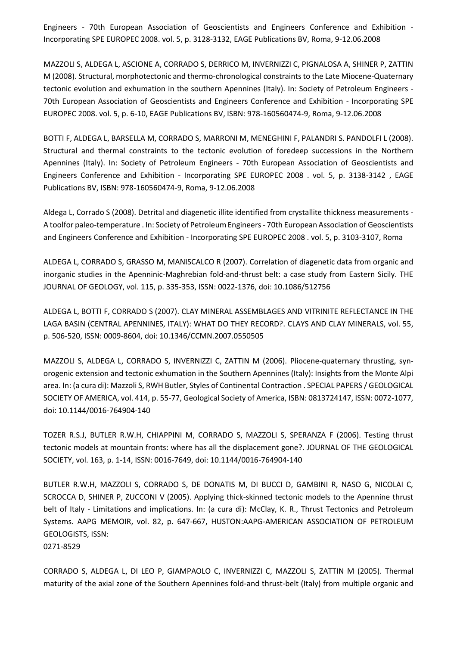Engineers - 70th European Association of Geoscientists and Engineers Conference and Exhibition - Incorporating SPE EUROPEC 2008. vol. 5, p. 3128-3132, EAGE Publications BV, Roma, 9-12.06.2008

MAZZOLI S, ALDEGA L, ASCIONE A, CORRADO S, DERRICO M, INVERNIZZI C, PIGNALOSA A, SHINER P, ZATTIN M (2008). Structural, morphotectonic and thermo-chronological constraints to the Late Miocene-Quaternary tectonic evolution and exhumation in the southern Apennines (Italy). In: Society of Petroleum Engineers - 70th European Association of Geoscientists and Engineers Conference and Exhibition - Incorporating SPE EUROPEC 2008. vol. 5, p. 6-10, EAGE Publications BV, ISBN: 978-160560474-9, Roma, 9-12.06.2008

BOTTI F, ALDEGA L, BARSELLA M, CORRADO S, MARRONI M, MENEGHINI F, PALANDRI S. PANDOLFI L (2008). Structural and thermal constraints to the tectonic evolution of foredeep successions in the Northern Apennines (Italy). In: Society of Petroleum Engineers - 70th European Association of Geoscientists and Engineers Conference and Exhibition - Incorporating SPE EUROPEC 2008 . vol. 5, p. 3138-3142 , EAGE Publications BV, ISBN: 978-160560474-9, Roma, 9-12.06.2008

Aldega L, Corrado S (2008). Detrital and diagenetic illite identified from crystallite thickness measurements - A toolfor paleo-temperature . In: Society of Petroleum Engineers - 70th European Association of Geoscientists and Engineers Conference and Exhibition - Incorporating SPE EUROPEC 2008 . vol. 5, p. 3103-3107, Roma

ALDEGA L, CORRADO S, GRASSO M, MANISCALCO R (2007). Correlation of diagenetic data from organic and inorganic studies in the Apenninic-Maghrebian fold-and-thrust belt: a case study from Eastern Sicily. THE JOURNAL OF GEOLOGY, vol. 115, p. 335-353, ISSN: 0022-1376, doi: 10.1086/512756

ALDEGA L, BOTTI F, CORRADO S (2007). CLAY MINERAL ASSEMBLAGES AND VITRINITE REFLECTANCE IN THE LAGA BASIN (CENTRAL APENNINES, ITALY): WHAT DO THEY RECORD?. CLAYS AND CLAY MINERALS, vol. 55, p. 506-520, ISSN: 0009-8604, doi: 10.1346/CCMN.2007.0550505

MAZZOLI S, ALDEGA L, CORRADO S, INVERNIZZI C, ZATTIN M (2006). Pliocene-quaternary thrusting, synorogenic extension and tectonic exhumation in the Southern Apennines (Italy): Insights from the Monte Alpi area. In: (a cura di): Mazzoli S, RWH Butler, Styles of Continental Contraction . SPECIAL PAPERS / GEOLOGICAL SOCIETY OF AMERICA, vol. 414, p. 55-77, Geological Society of America, ISBN: 0813724147, ISSN: 0072-1077, doi: 10.1144/0016-764904-140

TOZER R.S.J, BUTLER R.W.H, CHIAPPINI M, CORRADO S, MAZZOLI S, SPERANZA F (2006). Testing thrust tectonic models at mountain fronts: where has all the displacement gone?. JOURNAL OF THE GEOLOGICAL SOCIETY, vol. 163, p. 1-14, ISSN: 0016-7649, doi: 10.1144/0016-764904-140

BUTLER R.W.H, MAZZOLI S, CORRADO S, DE DONATIS M, DI BUCCI D, GAMBINI R, NASO G, NICOLAI C, SCROCCA D, SHINER P, ZUCCONI V (2005). Applying thick-skinned tectonic models to the Apennine thrust belt of Italy - Limitations and implications. In: (a cura di): McClay, K. R., Thrust Tectonics and Petroleum Systems. AAPG MEMOIR, vol. 82, p. 647-667, HUSTON:AAPG-AMERICAN ASSOCIATION OF PETROLEUM GEOLOGISTS, ISSN:

0271-8529

CORRADO S, ALDEGA L, DI LEO P, GIAMPAOLO C, INVERNIZZI C, MAZZOLI S, ZATTIN M (2005). Thermal maturity of the axial zone of the Southern Apennines fold-and thrust-belt (Italy) from multiple organic and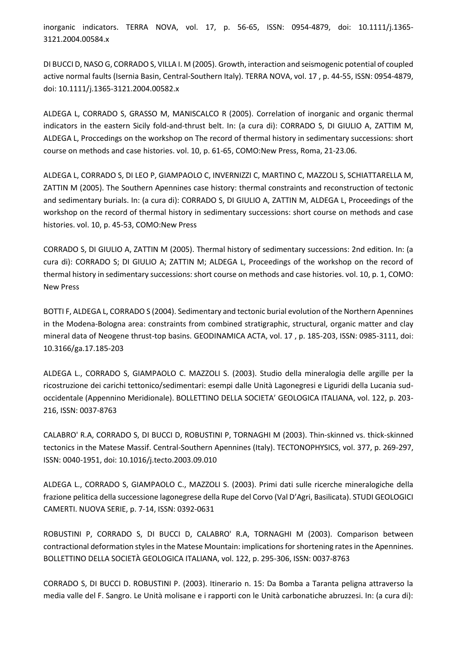inorganic indicators. TERRA NOVA, vol. 17, p. 56-65, ISSN: 0954-4879, doi: 10.1111/j.1365- 3121.2004.00584.x

DI BUCCI D, NASO G, CORRADO S, VILLA I. M (2005). Growth, interaction and seismogenic potential of coupled active normal faults (Isernia Basin, Central-Southern Italy). TERRA NOVA, vol. 17 , p. 44-55, ISSN: 0954-4879, doi: 10.1111/j.1365-3121.2004.00582.x

ALDEGA L, CORRADO S, GRASSO M, MANISCALCO R (2005). Correlation of inorganic and organic thermal indicators in the eastern Sicily fold-and-thrust belt. In: (a cura di): CORRADO S, DI GIULIO A, ZATTIM M, ALDEGA L, Proccedings on the workshop on The record of thermal history in sedimentary successions: short course on methods and case histories. vol. 10, p. 61-65, COMO:New Press, Roma, 21-23.06.

ALDEGA L, CORRADO S, DI LEO P, GIAMPAOLO C, INVERNIZZI C, MARTINO C, MAZZOLI S, SCHIATTARELLA M, ZATTIN M (2005). The Southern Apennines case history: thermal constraints and reconstruction of tectonic and sedimentary burials. In: (a cura di): CORRADO S, DI GIULIO A, ZATTIN M, ALDEGA L, Proceedings of the workshop on the record of thermal history in sedimentary successions: short course on methods and case histories. vol. 10, p. 45-53, COMO:New Press

CORRADO S, DI GIULIO A, ZATTIN M (2005). Thermal history of sedimentary successions: 2nd edition. In: (a cura di): CORRADO S; DI GIULIO A; ZATTIN M; ALDEGA L, Proceedings of the workshop on the record of thermal history in sedimentary successions: short course on methods and case histories. vol. 10, p. 1, COMO: New Press

BOTTI F, ALDEGA L, CORRADO S (2004). Sedimentary and tectonic burial evolution of the Northern Apennines in the Modena-Bologna area: constraints from combined stratigraphic, structural, organic matter and clay mineral data of Neogene thrust-top basins. GEODINAMICA ACTA, vol. 17 , p. 185-203, ISSN: 0985-3111, doi: 10.3166/ga.17.185-203

ALDEGA L., CORRADO S, GIAMPAOLO C. MAZZOLI S. (2003). Studio della mineralogia delle argille per la ricostruzione dei carichi tettonico/sedimentari: esempi dalle Unità Lagonegresi e Liguridi della Lucania sudoccidentale (Appennino Meridionale). BOLLETTINO DELLA SOCIETA' GEOLOGICA ITALIANA, vol. 122, p. 203- 216, ISSN: 0037-8763

CALABRO' R.A, CORRADO S, DI BUCCI D, ROBUSTINI P, TORNAGHI M (2003). Thin-skinned vs. thick-skinned tectonics in the Matese Massif. Central-Southern Apennines (Italy). TECTONOPHYSICS, vol. 377, p. 269-297, ISSN: 0040-1951, doi: 10.1016/j.tecto.2003.09.010

ALDEGA L., CORRADO S, GIAMPAOLO C., MAZZOLI S. (2003). Primi dati sulle ricerche mineralogiche della frazione pelitica della successione lagonegrese della Rupe del Corvo (Val D'Agri, Basilicata). STUDI GEOLOGICI CAMERTI. NUOVA SERIE, p. 7-14, ISSN: 0392-0631

ROBUSTINI P, CORRADO S, DI BUCCI D, CALABRO' R.A, TORNAGHI M (2003). Comparison between contractional deformation styles in the Matese Mountain: implications for shortening rates in the Apennines. BOLLETTINO DELLA SOCIETÀ GEOLOGICA ITALIANA, vol. 122, p. 295-306, ISSN: 0037-8763

CORRADO S, DI BUCCI D. ROBUSTINI P. (2003). Itinerario n. 15: Da Bomba a Taranta peligna attraverso la media valle del F. Sangro. Le Unità molisane e i rapporti con le Unità carbonatiche abruzzesi. In: (a cura di):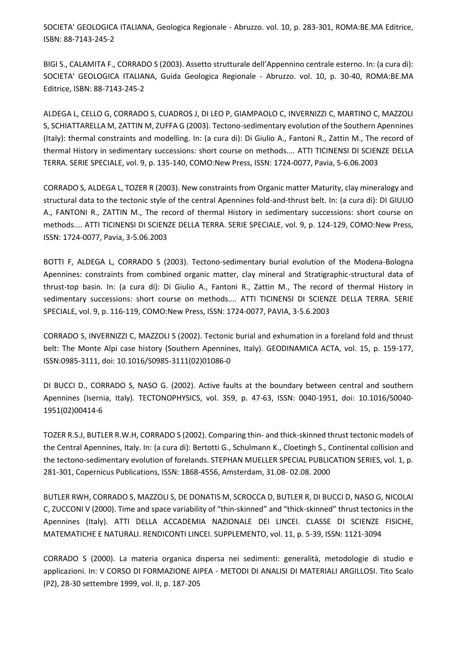SOCIETA' GEOLOGICA ITALIANA, Geologica Regionale - Abruzzo. vol. 10, p. 283-301, ROMA:BE.MA Editrice, ISBN: 88-7143-245-2

BIGI S., CALAMITA F., CORRADO S (2003). Assetto strutturale dell'Appennino centrale esterno. In: (a cura di): SOCIETA' GEOLOGICA ITALIANA, Guida Geologica Regionale - Abruzzo. vol. 10, p. 30-40, ROMA:BE.MA Editrice, ISBN: 88-7143-245-2

ALDEGA L, CELLO G, CORRADO S, CUADROS J, DI LEO P, GIAMPAOLO C, INVERNIZZI C, MARTINO C, MAZZOLI S, SCHIATTARELLA M, ZATTIN M, ZUFFA G (2003). Tectono-sedimentary evolution of the Southern Apennines (Italy): thermal constraints and modelling. In: (a cura di): Di Giulio A., Fantoni R., Zattin M., The record of thermal History in sedimentary successions: short course on methods.... ATTI TICINENSI DI SCIENZE DELLA TERRA. SERIE SPECIALE, vol. 9, p. 135-140, COMO:New Press, ISSN: 1724-0077, Pavia, 5-6.06.2003

CORRADO S, ALDEGA L, TOZER R (2003). New constraints from Organic matter Maturity, clay mineralogy and structural data to the tectonic style of the central Apennines fold-and-thrust belt. In: (a cura di): DI GIULIO A., FANTONI R., ZATTIN M., The record of thermal History in sedimentary successions: short course on methods.... ATTI TICINENSI DI SCIENZE DELLA TERRA. SERIE SPECIALE, vol. 9, p. 124-129, COMO:New Press, ISSN: 1724-0077, Pavia, 3-5.06.2003

BOTTI F, ALDEGA L, CORRADO S (2003). Tectono-sedimentary burial evolution of the Modena-Bologna Apennines: constraints from combined organic matter, clay mineral and Stratigraphic-structural data of thrust-top basin. In: (a cura di): Di Giulio A., Fantoni R., Zattin M., The record of thermal History in sedimentary successions: short course on methods.... ATTI TICINENSI DI SCIENZE DELLA TERRA. SERIE SPECIALE, vol. 9, p. 116-119, COMO:New Press, ISSN: 1724-0077, PAVIA, 3-5.6.2003

CORRADO S, INVERNIZZI C, MAZZOLI S (2002). Tectonic burial and exhumation in a foreland fold and thrust belt: The Monte Alpi case history (Southern Apennines, Italy). GEODINAMICA ACTA, vol. 15, p. 159-177, ISSN:0985-3111, doi: 10.1016/S0985-3111(02)01086-0

DI BUCCI D., CORRADO S, NASO G. (2002). Active faults at the boundary between central and southern Apennines (Isernia, Italy). TECTONOPHYSICS, vol. 359, p. 47-63, ISSN: 0040-1951, doi: 10.1016/S0040- 1951(02)00414-6

TOZER R.S.J, BUTLER R.W.H, CORRADO S (2002). Comparing thin- and thick-skinned thrust tectonic models of the Central Apennines, Italy. In: (a cura di): Bertotti G., Schulmann K., Cloetingh S., Continental collision and the tectono-sedimentary evolution of forelands. STEPHAN MUELLER SPECIAL PUBLICATION SERIES, vol. 1, p. 281-301, Copernicus Publications, ISSN: 1868-4556, Amsterdam, 31.08- 02.08. 2000

BUTLER RWH, CORRADO S, MAZZOLI S, DE DONATIS M, SCROCCA D, BUTLER R, DI BUCCI D, NASO G, NICOLAI C, ZUCCONI V (2000). Time and space variability of "thin-skinned" and "thick-skinned" thrust tectonics in the Apennines (Italy). ATTI DELLA ACCADEMIA NAZIONALE DEI LINCEI. CLASSE DI SCIENZE FISICHE, MATEMATICHE E NATURALI. RENDICONTI LINCEI. SUPPLEMENTO, vol. 11, p. 5-39, ISSN: 1121-3094

CORRADO S (2000). La materia organica dispersa nei sedimenti: generalità, metodologie di studio e applicazioni. In: V CORSO DI FORMAZIONE AIPEA - METODI DI ANALISI DI MATERIALI ARGILLOSI. Tito Scalo (PZ), 28-30 settembre 1999, vol. II, p. 187-205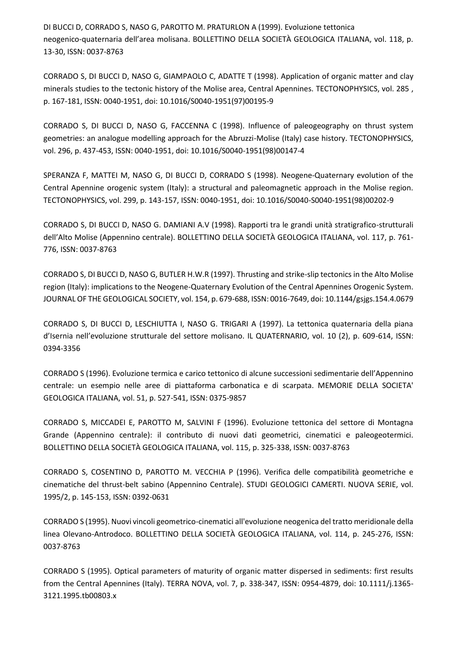DI BUCCI D, CORRADO S, NASO G, PAROTTO M. PRATURLON A (1999). Evoluzione tettonica neogenico-quaternaria dell'area molisana. BOLLETTINO DELLA SOCIETÀ GEOLOGICA ITALIANA, vol. 118, p. 13-30, ISSN: 0037-8763

CORRADO S, DI BUCCI D, NASO G, GIAMPAOLO C, ADATTE T (1998). Application of organic matter and clay minerals studies to the tectonic history of the Molise area, Central Apennines. TECTONOPHYSICS, vol. 285 , p. 167-181, ISSN: 0040-1951, doi: 10.1016/S0040-1951(97)00195-9

CORRADO S, DI BUCCI D, NASO G, FACCENNA C (1998). Influence of paleogeography on thrust system geometries: an analogue modelling approach for the Abruzzi-Molise (Italy) case history. TECTONOPHYSICS, vol. 296, p. 437-453, ISSN: 0040-1951, doi: 10.1016/S0040-1951(98)00147-4

SPERANZA F, MATTEI M, NASO G, DI BUCCI D, CORRADO S (1998). Neogene-Quaternary evolution of the Central Apennine orogenic system (Italy): a structural and paleomagnetic approach in the Molise region. TECTONOPHYSICS, vol. 299, p. 143-157, ISSN: 0040-1951, doi: 10.1016/S0040-S0040-1951(98)00202-9

CORRADO S, DI BUCCI D, NASO G. DAMIANI A.V (1998). Rapporti tra le grandi unità stratigrafico-strutturali dell'Alto Molise (Appennino centrale). BOLLETTINO DELLA SOCIETÀ GEOLOGICA ITALIANA, vol. 117, p. 761-776, ISSN: 0037-8763

CORRADO S, DI BUCCI D, NASO G, BUTLER H.W.R (1997). Thrusting and strike-slip tectonics in the Alto Molise region (Italy): implications to the Neogene-Quaternary Evolution of the Central Apennines Orogenic System. JOURNAL OF THE GEOLOGICAL SOCIETY, vol. 154, p. 679-688, ISSN: 0016-7649, doi: 10.1144/gsjgs.154.4.0679

CORRADO S, DI BUCCI D, LESCHIUTTA I, NASO G. TRIGARI A (1997). La tettonica quaternaria della piana d'Isernia nell'evoluzione strutturale del settore molisano. IL QUATERNARIO, vol. 10 (2), p. 609-614, ISSN: 0394-3356

CORRADO S (1996). Evoluzione termica e carico tettonico di alcune successioni sedimentarie dell'Appennino centrale: un esempio nelle aree di piattaforma carbonatica e di scarpata. MEMORIE DELLA SOCIETA' GEOLOGICA ITALIANA, vol. 51, p. 527-541, ISSN: 0375-9857

CORRADO S, MICCADEI E, PAROTTO M, SALVINI F (1996). Evoluzione tettonica del settore di Montagna Grande (Appennino centrale): il contributo di nuovi dati geometrici, cinematici e paleogeotermici. BOLLETTINO DELLA SOCIETÀ GEOLOGICA ITALIANA, vol. 115, p. 325-338, ISSN: 0037-8763

CORRADO S, COSENTINO D, PAROTTO M. VECCHIA P (1996). Verifica delle compatibilità geometriche e cinematiche del thrust-belt sabino (Appennino Centrale). STUDI GEOLOGICI CAMERTI. NUOVA SERIE, vol. 1995/2, p. 145-153, ISSN: 0392-0631

CORRADO S (1995). Nuovi vincoli geometrico-cinematici all'evoluzione neogenica del tratto meridionale della linea Olevano-Antrodoco. BOLLETTINO DELLA SOCIETÀ GEOLOGICA ITALIANA, vol. 114, p. 245-276, ISSN: 0037-8763

CORRADO S (1995). Optical parameters of maturity of organic matter dispersed in sediments: first results from the Central Apennines (Italy). TERRA NOVA, vol. 7, p. 338-347, ISSN: 0954-4879, doi: 10.1111/j.1365- 3121.1995.tb00803.x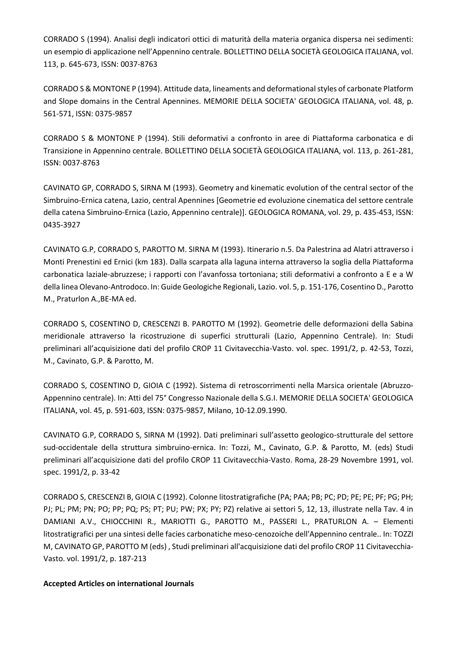CORRADO S (1994). Analisi degli indicatori ottici di maturità della materia organica dispersa nei sedimenti: un esempio di applicazione nell'Appennino centrale. BOLLETTINO DELLA SOCIETÀ GEOLOGICA ITALIANA, vol. 113, p. 645-673, ISSN: 0037-8763

CORRADO S & MONTONE P (1994). Attitude data, lineaments and deformational styles of carbonate Platform and Slope domains in the Central Apennines. MEMORIE DELLA SOCIETA' GEOLOGICA ITALIANA, vol. 48, p. 561-571, ISSN: 0375-9857

CORRADO S & MONTONE P (1994). Stili deformativi a confronto in aree di Piattaforma carbonatica e di Transizione in Appennino centrale. BOLLETTINO DELLA SOCIETÀ GEOLOGICA ITALIANA, vol. 113, p. 261-281, ISSN: 0037-8763

CAVINATO GP, CORRADO S, SIRNA M (1993). Geometry and kinematic evolution of the central sector of the Simbruino-Ernica catena, Lazio, central Apennines [Geometrie ed evoluzione cinematica del settore centrale della catena Simbruino-Ernica (Lazio, Appennino centrale)]. GEOLOGICA ROMANA, vol. 29, p. 435-453, ISSN: 0435-3927

CAVINATO G.P, CORRADO S, PAROTTO M. SIRNA M (1993). Itinerario n.5. Da Palestrina ad Alatri attraverso i Monti Prenestini ed Ernici (km 183). Dalla scarpata alla laguna interna attraverso la soglia della Piattaforma carbonatica laziale-abruzzese; i rapporti con l'avanfossa tortoniana; stili deformativi a confronto a E e a W della linea Olevano-Antrodoco. In: Guide Geologiche Regionali, Lazio. vol. 5, p. 151-176, Cosentino D., Parotto M., Praturlon A.,BE-MA ed.

CORRADO S, COSENTINO D, CRESCENZI B. PAROTTO M (1992). Geometrie delle deformazioni della Sabina meridionale attraverso la ricostruzione di superfici strutturali (Lazio, Appennino Centrale). In: Studi preliminari all'acquisizione dati del profilo CROP 11 Civitavecchia-Vasto. vol. spec. 1991/2, p. 42-53, Tozzi, M., Cavinato, G.P. & Parotto, M.

CORRADO S, COSENTINO D, GIOIA C (1992). Sistema di retroscorrimenti nella Marsica orientale (Abruzzo-Appennino centrale). In: Atti del 75° Congresso Nazionale della S.G.I. MEMORIE DELLA SOCIETA' GEOLOGICA ITALIANA, vol. 45, p. 591-603, ISSN: 0375-9857, Milano, 10-12.09.1990.

CAVINATO G.P, CORRADO S, SIRNA M (1992). Dati preliminari sull'assetto geologico-strutturale del settore sud-occidentale della struttura simbruino-ernica. In: Tozzi, M., Cavinato, G.P. & Parotto, M. (eds) Studi preliminari all'acquisizione dati del profilo CROP 11 Civitavecchia-Vasto. Roma, 28-29 Novembre 1991, vol. spec. 1991/2, p. 33-42

CORRADO S, CRESCENZI B, GIOIA C (1992). Colonne litostratigrafiche (PA; PAA; PB; PC; PD; PE; PE; PF; PG; PH; PJ; PL; PM; PN; PO; PP; PQ; PS; PT; PU; PW; PX; PY; PZ) relative ai settori 5, 12, 13, illustrate nella Tav. 4 in DAMIANI A.V., CHIOCCHINI R., MARIOTTI G., PAROTTO M., PASSERI L., PRATURLON A. – Elementi litostratigrafici per una sintesi delle facies carbonatiche meso-cenozoiche dell'Appennino centrale.. In: TOZZI M, CAVINATO GP, PAROTTO M (eds) , Studi preliminari all'acquisizione dati del profilo CROP 11 Civitavecchia-Vasto. vol. 1991/2, p. 187-213

#### **Accepted Articles on international Journals**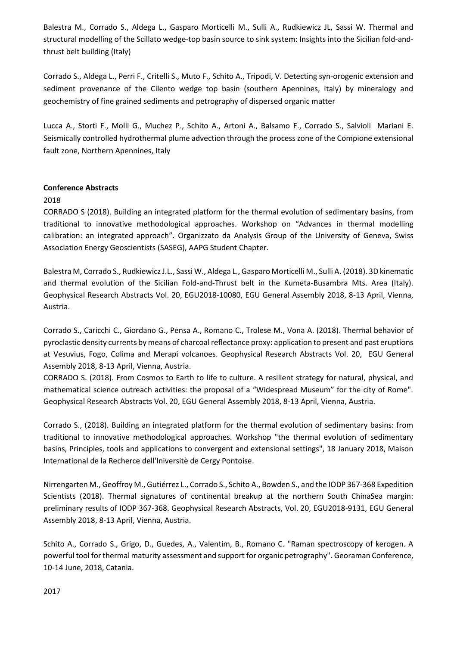Balestra M., Corrado S., Aldega L., Gasparo Morticelli M., Sulli A., Rudkiewicz JL, Sassi W. Thermal and structural modelling of the Scillato wedge-top basin source to sink system: Insights into the Sicilian fold-andthrust belt building (Italy)

Corrado S., Aldega L., Perri F., Critelli S., Muto F., Schito A., Tripodi, V. Detecting syn-orogenic extension and sediment provenance of the Cilento wedge top basin (southern Apennines, Italy) by mineralogy and geochemistry of fine grained sediments and petrography of dispersed organic matter

Lucca A., Storti F., Molli G., Muchez P., Schito A., Artoni A., Balsamo F., Corrado S., Salvioli Mariani E. Seismically controlled hydrothermal plume advection through the process zone of the Compione extensional fault zone, Northern Apennines, Italy

### **Conference Abstracts**

#### 2018

CORRADO S (2018). Building an integrated platform for the thermal evolution of sedimentary basins, from traditional to innovative methodological approaches. Workshop on "Advances in thermal modelling calibration: an integrated approach". Organizzato da Analysis Group of the University of Geneva, Swiss Association Energy Geoscientists (SASEG), AAPG Student Chapter.

Balestra M, Corrado S., Rudkiewicz J.L., Sassi W., Aldega L., Gasparo Morticelli M., Sulli A. (2018). 3D kinematic and thermal evolution of the Sicilian Fold-and-Thrust belt in the Kumeta-Busambra Mts. Area (Italy). Geophysical Research Abstracts Vol. 20, EGU2018-10080, EGU General Assembly 2018, 8-13 April, Vienna, Austria.

Corrado S., Caricchi C., Giordano G., Pensa A., Romano C., Trolese M., Vona A. (2018). Thermal behavior of pyroclastic density currents by means of charcoal reflectance proxy: application to present and past eruptions at Vesuvius, Fogo, Colima and Merapi volcanoes. Geophysical Research Abstracts Vol. 20, EGU General Assembly 2018, 8-13 April, Vienna, Austria.

CORRADO S. (2018). From Cosmos to Earth to life to culture. A resilient strategy for natural, physical, and mathematical science outreach activities: the proposal of a "Widespread Museum" for the city of Rome". Geophysical Research Abstracts Vol. 20, EGU General Assembly 2018, 8-13 April, Vienna, Austria.

Corrado S., (2018). Building an integrated platform for the thermal evolution of sedimentary basins: from traditional to innovative methodological approaches. Workshop "the thermal evolution of sedimentary basins, Principles, tools and applications to convergent and extensional settings", 18 January 2018, Maison International de la Recherce dell'Iniversitè de Cergy Pontoise.

Nirrengarten M., Geoffroy M., Gutiérrez L., Corrado S., Schito A., Bowden S., and the IODP 367-368 Expedition Scientists (2018). Thermal signatures of continental breakup at the northern South ChinaSea margin: preliminary results of IODP 367-368. Geophysical Research Abstracts, Vol. 20, EGU2018-9131, EGU General Assembly 2018, 8-13 April, Vienna, Austria.

Schito A., Corrado S., Grigo, D., Guedes, A., Valentim, B., Romano C. "Raman spectroscopy of kerogen. A powerful tool for thermal maturity assessment and support for organic petrography". Georaman Conference, 10-14 June, 2018, Catania.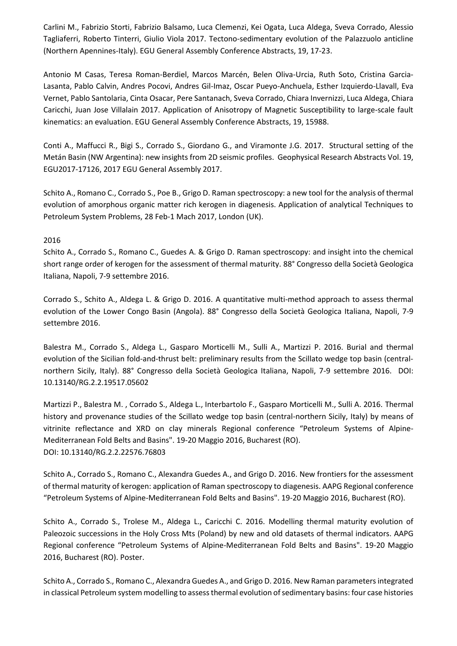Carlini M., Fabrizio Storti, Fabrizio Balsamo, Luca Clemenzi, Kei Ogata, Luca Aldega, Sveva Corrado, Alessio Tagliaferri, Roberto Tinterri, Giulio Viola 2017. Tectono-sedimentary evolution of the Palazzuolo anticline (Northern Apennines-Italy). EGU General Assembly Conference Abstracts, 19, 17-23.

Antonio M Casas, Teresa Roman-Berdiel, Marcos Marcén, Belen Oliva-Urcia, Ruth Soto, Cristina Garcia-Lasanta, Pablo Calvin, Andres Pocovi, Andres Gil-Imaz, Oscar Pueyo-Anchuela, Esther Izquierdo-Llavall, Eva Vernet, Pablo Santolaria, Cinta Osacar, Pere Santanach, Sveva Corrado, Chiara Invernizzi, Luca Aldega, Chiara Caricchi, Juan Jose Villalain 2017. Application of Anisotropy of Magnetic Susceptibility to large-scale fault kinematics: an evaluation. EGU General Assembly Conference Abstracts, 19, 15988.

Conti A., Maffucci R., Bigi S., Corrado S., Giordano G., and Viramonte J.G. 2017. Structural setting of the Metán Basin (NW Argentina): new insights from 2D seismic profiles. Geophysical Research Abstracts Vol. 19, EGU2017-17126, 2017 EGU General Assembly 2017.

Schito A., Romano C., Corrado S., Poe B., Grigo D. Raman spectroscopy: a new tool for the analysis of thermal evolution of amorphous organic matter rich kerogen in diagenesis. Application of analytical Techniques to Petroleum System Problems, 28 Feb-1 Mach 2017, London (UK).

### 2016

Schito A., Corrado S., Romano C., Guedes A. & Grigo D. Raman spectroscopy: and insight into the chemical short range order of kerogen for the assessment of thermal maturity. 88° Congresso della Società Geologica Italiana, Napoli, 7-9 settembre 2016.

Corrado S., Schito A., Aldega L. & Grigo D. 2016. A quantitative multi-method approach to assess thermal evolution of the Lower Congo Basin (Angola). 88° Congresso della Società Geologica Italiana, Napoli, 7-9 settembre 2016.

Balestra M., Corrado S., Aldega L., Gasparo Morticelli M., Sulli A., Martizzi P. 2016. Burial and thermal evolution of the Sicilian fold-and-thrust belt: preliminary results from the Scillato wedge top basin (centralnorthern Sicily, Italy). 88° Congresso della Società Geologica Italiana, Napoli, 7-9 settembre 2016. DOI: 10.13140/RG.2.2.19517.05602

Martizzi P., Balestra M. , Corrado S., Aldega L., Interbartolo F., Gasparo Morticelli M., Sulli A. 2016. Thermal history and provenance studies of the Scillato wedge top basin (central-northern Sicily, Italy) by means of vitrinite reflectance and XRD on clay minerals Regional conference "Petroleum Systems of Alpine-Mediterranean Fold Belts and Basins". 19-20 Maggio 2016, Bucharest (RO). DOI: 10.13140/RG.2.2.22576.76803

Schito A., Corrado S., Romano C., Alexandra Guedes A., and Grigo D. 2016. New frontiers for the assessment of thermal maturity of kerogen: application of Raman spectroscopy to diagenesis. AAPG Regional conference "Petroleum Systems of Alpine-Mediterranean Fold Belts and Basins". 19-20 Maggio 2016, Bucharest (RO).

Schito A., Corrado S., Trolese M., Aldega L., Caricchi C. 2016. Modelling thermal maturity evolution of Paleozoic successions in the Holy Cross Mts (Poland) by new and old datasets of thermal indicators. AAPG Regional conference "Petroleum Systems of Alpine-Mediterranean Fold Belts and Basins". 19-20 Maggio 2016, Bucharest (RO). Poster.

Schito A., Corrado S., Romano C., Alexandra Guedes A., and Grigo D. 2016. New Raman parameters integrated in classical Petroleum system modelling to assess thermal evolution of sedimentary basins: four case histories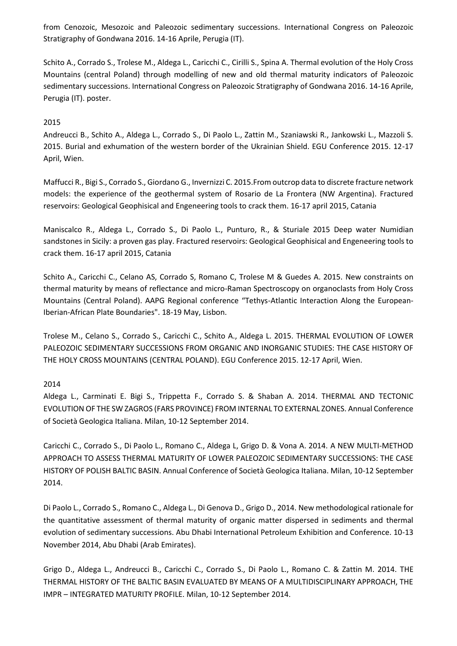from Cenozoic, Mesozoic and Paleozoic sedimentary successions. International Congress on Paleozoic Stratigraphy of Gondwana 2016. 14-16 Aprile, Perugia (IT).

Schito A., Corrado S., Trolese M., Aldega L., Caricchi C., Cirilli S., Spina A. Thermal evolution of the Holy Cross Mountains (central Poland) through modelling of new and old thermal maturity indicators of Paleozoic sedimentary successions. International Congress on Paleozoic Stratigraphy of Gondwana 2016. 14-16 Aprile, Perugia (IT). poster.

### 2015

Andreucci B., Schito A., Aldega L., Corrado S., Di Paolo L., Zattin M., Szaniawski R., Jankowski L., Mazzoli S. 2015. Burial and exhumation of the western border of the Ukrainian Shield. EGU Conference 2015. 12-17 April, Wien.

Maffucci R., Bigi S., Corrado S., Giordano G., Invernizzi C. 2015.From outcrop data to discrete fracture network models: the experience of the geothermal system of Rosario de La Frontera (NW Argentina). Fractured reservoirs: Geological Geophisical and Engeneering tools to crack them. 16-17 april 2015, Catania

Maniscalco R., Aldega L., Corrado S., Di Paolo L., Punturo, R., & Sturiale 2015 Deep water Numidian sandstones in Sicily: a proven gas play. Fractured reservoirs: Geological Geophisical and Engeneering tools to crack them. 16-17 april 2015, Catania

Schito A., Caricchi C., Celano AS, Corrado S, Romano C, Trolese M & Guedes A. 2015. New constraints on thermal maturity by means of reflectance and micro-Raman Spectroscopy on organoclasts from Holy Cross Mountains (Central Poland). AAPG Regional conference "Tethys-Atlantic Interaction Along the European-Iberian-African Plate Boundaries". 18-19 May, Lisbon.

Trolese M., Celano S., Corrado S., Caricchi C., Schito A., Aldega L. 2015. THERMAL EVOLUTION OF LOWER PALEOZOIC SEDIMENTARY SUCCESSIONS FROM ORGANIC AND INORGANIC STUDIES: THE CASE HISTORY OF THE HOLY CROSS MOUNTAINS (CENTRAL POLAND). EGU Conference 2015. 12-17 April, Wien.

## 2014

Aldega L., Carminati E. Bigi S., Trippetta F., Corrado S. & Shaban A. 2014. THERMAL AND TECTONIC EVOLUTION OF THE SW ZAGROS (FARS PROVINCE) FROM INTERNAL TO EXTERNAL ZONES. Annual Conference of Società Geologica Italiana. Milan, 10-12 September 2014.

Caricchi C., Corrado S., Di Paolo L., Romano C., Aldega L, Grigo D. & Vona A. 2014. A NEW MULTI-METHOD APPROACH TO ASSESS THERMAL MATURITY OF LOWER PALEOZOIC SEDIMENTARY SUCCESSIONS: THE CASE HISTORY OF POLISH BALTIC BASIN. Annual Conference of Società Geologica Italiana. Milan, 10-12 September 2014.

Di Paolo L., Corrado S., Romano C., Aldega L., Di Genova D., Grigo D., 2014. New methodological rationale for the quantitative assessment of thermal maturity of organic matter dispersed in sediments and thermal evolution of sedimentary successions. Abu Dhabi International Petroleum Exhibition and Conference. 10-13 November 2014, Abu Dhabi (Arab Emirates).

Grigo D., Aldega L., Andreucci B., Caricchi C., Corrado S., Di Paolo L., Romano C. & Zattin M. 2014. THE THERMAL HISTORY OF THE BALTIC BASIN EVALUATED BY MEANS OF A MULTIDISCIPLINARY APPROACH, THE IMPR – INTEGRATED MATURITY PROFILE. Milan, 10-12 September 2014.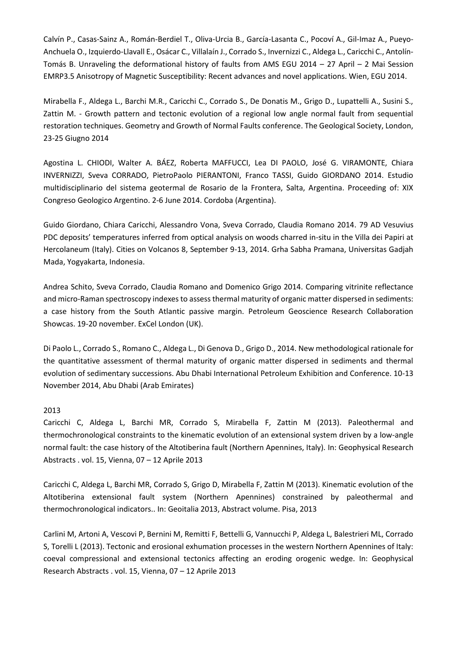Calvín P., Casas-Sainz A., Román-Berdiel T., Oliva-Urcia B., García-Lasanta C., Pocoví A., Gil-Imaz A., Pueyo-Anchuela O., Izquierdo-Llavall E., Osácar C., Villalaín J., Corrado S., Invernizzi C., Aldega L., Caricchi C., Antolín-Tomás B. Unraveling the deformational history of faults from AMS EGU 2014 – 27 April – 2 Mai Session EMRP3.5 Anisotropy of Magnetic Susceptibility: Recent advances and novel applications. Wien, EGU 2014.

Mirabella F., Aldega L., Barchi M.R., Caricchi C., Corrado S., De Donatis M., Grigo D., Lupattelli A., Susini S., Zattin M. - Growth pattern and tectonic evolution of a regional low angle normal fault from sequential restoration techniques. Geometry and Growth of Normal Faults conference. The Geological Society, London, 23-25 Giugno 2014

Agostina L. CHIODI, Walter A. BÁEZ, Roberta MAFFUCCI, Lea DI PAOLO, José G. VIRAMONTE, Chiara INVERNIZZI, Sveva CORRADO, PietroPaolo PIERANTONI, Franco TASSI, Guido GIORDANO 2014. Estudio multidisciplinario del sistema geotermal de Rosario de la Frontera, Salta, Argentina. Proceeding of: XIX Congreso Geologico Argentino. 2-6 June 2014. Cordoba (Argentina).

Guido Giordano, Chiara Caricchi, Alessandro Vona, Sveva Corrado, Claudia Romano 2014. 79 AD Vesuvius PDC deposits' temperatures inferred from optical analysis on woods charred in-situ in the Villa dei Papiri at Hercolaneum (Italy). Cities on Volcanos 8, September 9-13, 2014. Grha Sabha Pramana, Universitas Gadjah Mada, Yogyakarta, Indonesia.

Andrea Schito, Sveva Corrado, Claudia Romano and Domenico Grigo 2014. Comparing vitrinite reflectance and micro-Raman spectroscopy indexes to assess thermal maturity of organic matter dispersed in sediments: a case history from the South Atlantic passive margin. Petroleum Geoscience Research Collaboration Showcas. 19-20 november. ExCel London (UK).

Di Paolo L., Corrado S., Romano C., Aldega L., Di Genova D., Grigo D., 2014. New methodological rationale for the quantitative assessment of thermal maturity of organic matter dispersed in sediments and thermal evolution of sedimentary successions. Abu Dhabi International Petroleum Exhibition and Conference. 10-13 November 2014, Abu Dhabi (Arab Emirates)

#### 2013

Caricchi C, Aldega L, Barchi MR, Corrado S, Mirabella F, Zattin M (2013). Paleothermal and thermochronological constraints to the kinematic evolution of an extensional system driven by a low-angle normal fault: the case history of the Altotiberina fault (Northern Apennines, Italy). In: Geophysical Research Abstracts . vol. 15, Vienna, 07 – 12 Aprile 2013

Caricchi C, Aldega L, Barchi MR, Corrado S, Grigo D, Mirabella F, Zattin M (2013). Kinematic evolution of the Altotiberina extensional fault system (Northern Apennines) constrained by paleothermal and thermochronological indicators.. In: Geoitalia 2013, Abstract volume. Pisa, 2013

Carlini M, Artoni A, Vescovi P, Bernini M, Remitti F, Bettelli G, Vannucchi P, Aldega L, Balestrieri ML, Corrado S, Torelli L (2013). Tectonic and erosional exhumation processes in the western Northern Apennines of Italy: coeval compressional and extensional tectonics affecting an eroding orogenic wedge. In: Geophysical Research Abstracts . vol. 15, Vienna, 07 – 12 Aprile 2013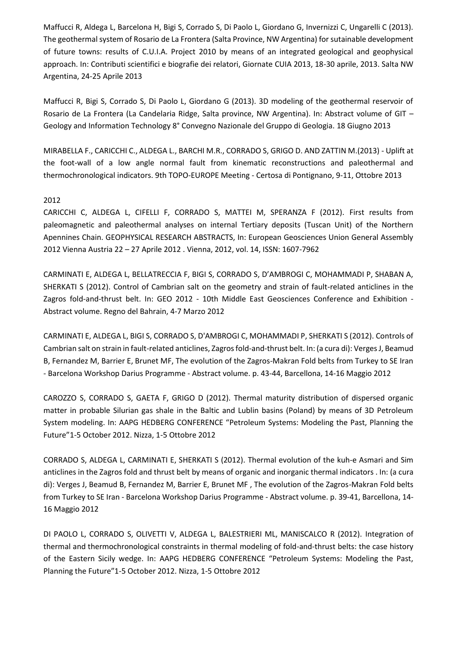Maffucci R, Aldega L, Barcelona H, Bigi S, Corrado S, Di Paolo L, Giordano G, Invernizzi C, Ungarelli C (2013). The geothermal system of Rosario de La Frontera (Salta Province, NW Argentina) for sutainable development of future towns: results of C.U.I.A. Project 2010 by means of an integrated geological and geophysical approach. In: Contributi scientifici e biografie dei relatori, Giornate CUIA 2013, 18-30 aprile, 2013. Salta NW Argentina, 24-25 Aprile 2013

Maffucci R, Bigi S, Corrado S, Di Paolo L, Giordano G (2013). 3D modeling of the geothermal reservoir of Rosario de La Frontera (La Candelaria Ridge, Salta province, NW Argentina). In: Abstract volume of GIT – Geology and Information Technology 8° Convegno Nazionale del Gruppo di Geologia. 18 Giugno 2013

MIRABELLA F., CARICCHI C., ALDEGA L., BARCHI M.R., CORRADO S, GRIGO D. AND ZATTIN M.(2013) - Uplift at the foot-wall of a low angle normal fault from kinematic reconstructions and paleothermal and thermochronological indicators. 9th TOPO-EUROPE Meeting - Certosa di Pontignano, 9-11, Ottobre 2013

### 2012

CARICCHI C, ALDEGA L, CIFELLI F, CORRADO S, MATTEI M, SPERANZA F (2012). First results from paleomagnetic and paleothermal analyses on internal Tertiary deposits (Tuscan Unit) of the Northern Apennines Chain. GEOPHYSICAL RESEARCH ABSTRACTS, In: European Geosciences Union General Assembly 2012 Vienna Austria 22 – 27 Aprile 2012 . Vienna, 2012, vol. 14, ISSN: 1607-7962

CARMINATI E, ALDEGA L, BELLATRECCIA F, BIGI S, CORRADO S, D'AMBROGI C, MOHAMMADI P, SHABAN A, SHERKATI S (2012). Control of Cambrian salt on the geometry and strain of fault-related anticlines in the Zagros fold-and-thrust belt. In: GEO 2012 - 10th Middle East Geosciences Conference and Exhibition - Abstract volume. Regno del Bahrain, 4-7 Marzo 2012

CARMINATI E, ALDEGA L, BIGI S, CORRADO S, D'AMBROGI C, MOHAMMADI P, SHERKATI S (2012). Controls of Cambrian salt on strain in fault-related anticlines, Zagros fold-and-thrust belt. In: (a cura di): Verges J, Beamud B, Fernandez M, Barrier E, Brunet MF, The evolution of the Zagros-Makran Fold belts from Turkey to SE Iran - Barcelona Workshop Darius Programme - Abstract volume. p. 43-44, Barcellona, 14-16 Maggio 2012

CAROZZO S, CORRADO S, GAETA F, GRIGO D (2012). Thermal maturity distribution of dispersed organic matter in probable Silurian gas shale in the Baltic and Lublin basins (Poland) by means of 3D Petroleum System modeling. In: AAPG HEDBERG CONFERENCE "Petroleum Systems: Modeling the Past, Planning the Future"1-5 October 2012. Nizza, 1-5 Ottobre 2012

CORRADO S, ALDEGA L, CARMINATI E, SHERKATI S (2012). Thermal evolution of the kuh-e Asmari and Sim anticlines in the Zagros fold and thrust belt by means of organic and inorganic thermal indicators . In: (a cura di): Verges J, Beamud B, Fernandez M, Barrier E, Brunet MF , The evolution of the Zagros-Makran Fold belts from Turkey to SE Iran - Barcelona Workshop Darius Programme - Abstract volume. p. 39-41, Barcellona, 14- 16 Maggio 2012

DI PAOLO L, CORRADO S, OLIVETTI V, ALDEGA L, BALESTRIERI ML, MANISCALCO R (2012). Integration of thermal and thermochronological constraints in thermal modeling of fold-and-thrust belts: the case history of the Eastern Sicily wedge. In: AAPG HEDBERG CONFERENCE "Petroleum Systems: Modeling the Past, Planning the Future"1-5 October 2012. Nizza, 1-5 Ottobre 2012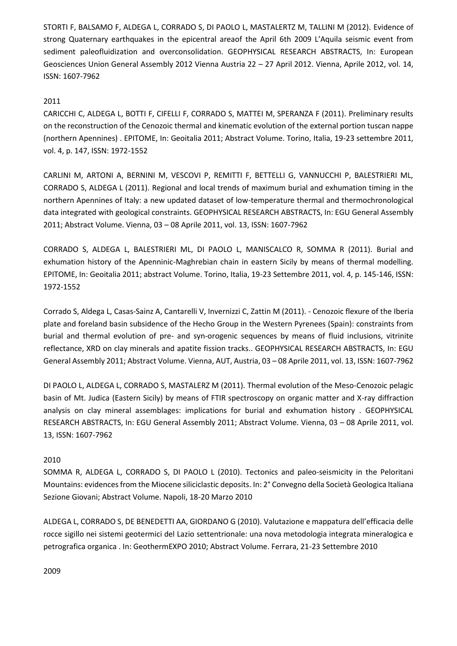STORTI F, BALSAMO F, ALDEGA L, CORRADO S, DI PAOLO L, MASTALERTZ M, TALLINI M (2012). Evidence of strong Quaternary earthquakes in the epicentral areaof the April 6th 2009 L'Aquila seismic event from sediment paleofluidization and overconsolidation. GEOPHYSICAL RESEARCH ABSTRACTS, In: European Geosciences Union General Assembly 2012 Vienna Austria 22 – 27 April 2012. Vienna, Aprile 2012, vol. 14, ISSN: 1607-7962

### 2011

CARICCHI C, ALDEGA L, BOTTI F, CIFELLI F, CORRADO S, MATTEI M, SPERANZA F (2011). Preliminary results on the reconstruction of the Cenozoic thermal and kinematic evolution of the external portion tuscan nappe (northern Apennines) . EPITOME, In: Geoitalia 2011; Abstract Volume. Torino, Italia, 19-23 settembre 2011, vol. 4, p. 147, ISSN: 1972-1552

CARLINI M, ARTONI A, BERNINI M, VESCOVI P, REMITTI F, BETTELLI G, VANNUCCHI P, BALESTRIERI ML, CORRADO S, ALDEGA L (2011). Regional and local trends of maximum burial and exhumation timing in the northern Apennines of Italy: a new updated dataset of low-temperature thermal and thermochronological data integrated with geological constraints. GEOPHYSICAL RESEARCH ABSTRACTS, In: EGU General Assembly 2011; Abstract Volume. Vienna, 03 – 08 Aprile 2011, vol. 13, ISSN: 1607-7962

CORRADO S, ALDEGA L, BALESTRIERI ML, DI PAOLO L, MANISCALCO R, SOMMA R (2011). Burial and exhumation history of the Apenninic-Maghrebian chain in eastern Sicily by means of thermal modelling. EPITOME, In: Geoitalia 2011; abstract Volume. Torino, Italia, 19-23 Settembre 2011, vol. 4, p. 145-146, ISSN: 1972-1552

Corrado S, Aldega L, Casas-Sainz A, Cantarelli V, Invernizzi C, Zattin M (2011). - Cenozoic flexure of the Iberia plate and foreland basin subsidence of the Hecho Group in the Western Pyrenees (Spain): constraints from burial and thermal evolution of pre- and syn-orogenic sequences by means of fluid inclusions, vitrinite reflectance, XRD on clay minerals and apatite fission tracks.. GEOPHYSICAL RESEARCH ABSTRACTS, In: EGU General Assembly 2011; Abstract Volume. Vienna, AUT, Austria, 03 – 08 Aprile 2011, vol. 13, ISSN: 1607-7962

DI PAOLO L, ALDEGA L, CORRADO S, MASTALERZ M (2011). Thermal evolution of the Meso-Cenozoic pelagic basin of Mt. Judica (Eastern Sicily) by means of FTIR spectroscopy on organic matter and X-ray diffraction analysis on clay mineral assemblages: implications for burial and exhumation history . GEOPHYSICAL RESEARCH ABSTRACTS, In: EGU General Assembly 2011; Abstract Volume. Vienna, 03 – 08 Aprile 2011, vol. 13, ISSN: 1607-7962

### 2010

SOMMA R, ALDEGA L, CORRADO S, DI PAOLO L (2010). Tectonics and paleo-seismicity in the Peloritani Mountains: evidences from the Miocene siliciclastic deposits. In: 2° Convegno della Società Geologica Italiana Sezione Giovani; Abstract Volume. Napoli, 18-20 Marzo 2010

ALDEGA L, CORRADO S, DE BENEDETTI AA, GIORDANO G (2010). Valutazione e mappatura dell'efficacia delle rocce sigillo nei sistemi geotermici del Lazio settentrionale: una nova metodologia integrata mineralogica e petrografica organica . In: GeothermEXPO 2010; Abstract Volume. Ferrara, 21-23 Settembre 2010

2009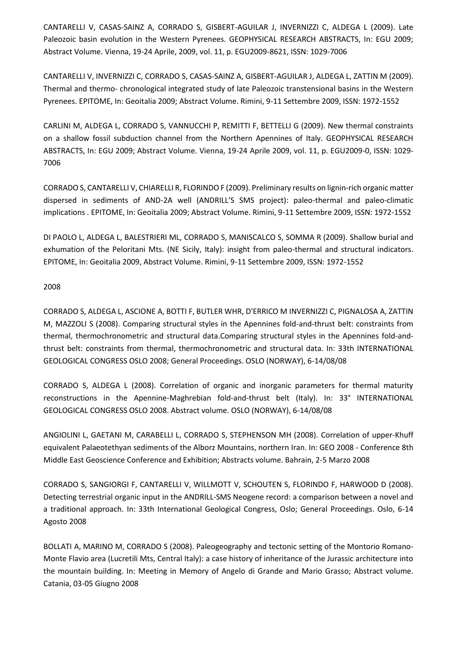CANTARELLI V, CASAS-SAINZ A, CORRADO S, GISBERT-AGUILAR J, INVERNIZZI C, ALDEGA L (2009). Late Paleozoic basin evolution in the Western Pyrenees. GEOPHYSICAL RESEARCH ABSTRACTS, In: EGU 2009; Abstract Volume. Vienna, 19-24 Aprile, 2009, vol. 11, p. EGU2009-8621, ISSN: 1029-7006

CANTARELLI V, INVERNIZZI C, CORRADO S, CASAS-SAINZ A, GISBERT-AGUILAR J, ALDEGA L, ZATTIN M (2009). Thermal and thermo- chronological integrated study of late Paleozoic transtensional basins in the Western Pyrenees. EPITOME, In: Geoitalia 2009; Abstract Volume. Rimini, 9-11 Settembre 2009, ISSN: 1972-1552

CARLINI M, ALDEGA L, CORRADO S, VANNUCCHI P, REMITTI F, BETTELLI G (2009). New thermal constraints on a shallow fossil subduction channel from the Northern Apennines of Italy. GEOPHYSICAL RESEARCH ABSTRACTS, In: EGU 2009; Abstract Volume. Vienna, 19-24 Aprile 2009, vol. 11, p. EGU2009-0, ISSN: 1029- 7006

CORRADO S, CANTARELLI V, CHIARELLI R, FLORINDO F (2009). Preliminary results on lignin-rich organic matter dispersed in sediments of AND-2A well (ANDRILL'S SMS project): paleo-thermal and paleo-climatic implications . EPITOME, In: Geoitalia 2009; Abstract Volume. Rimini, 9-11 Settembre 2009, ISSN: 1972-1552

DI PAOLO L, ALDEGA L, BALESTRIERI ML, CORRADO S, MANISCALCO S, SOMMA R (2009). Shallow burial and exhumation of the Peloritani Mts. (NE Sicily, Italy): insight from paleo-thermal and structural indicators. EPITOME, In: Geoitalia 2009, Abstract Volume. Rimini, 9-11 Settembre 2009, ISSN: 1972-1552

2008

CORRADO S, ALDEGA L, ASCIONE A, BOTTI F, BUTLER WHR, D'ERRICO M INVERNIZZI C, PIGNALOSA A, ZATTIN M, MAZZOLI S (2008). Comparing structural styles in the Apennines fold-and-thrust belt: constraints from thermal, thermochronometric and structural data.Comparing structural styles in the Apennines fold-andthrust belt: constraints from thermal, thermochronometric and structural data. In: 33th INTERNATIONAL GEOLOGICAL CONGRESS OSLO 2008; General Proceedings. OSLO (NORWAY), 6-14/08/08

CORRADO S, ALDEGA L (2008). Correlation of organic and inorganic parameters for thermal maturity reconstructions in the Apennine-Maghrebian fold-and-thrust belt (Italy). In: 33° INTERNATIONAL GEOLOGICAL CONGRESS OSLO 2008. Abstract volume. OSLO (NORWAY), 6-14/08/08

ANGIOLINI L, GAETANI M, CARABELLI L, CORRADO S, STEPHENSON MH (2008). Correlation of upper-Khuff equivalent Palaeotethyan sediments of the Alborz Mountains, northern Iran. In: GEO 2008 - Conference 8th Middle East Geoscience Conference and Exhibition; Abstracts volume. Bahrain, 2-5 Marzo 2008

CORRADO S, SANGIORGI F, CANTARELLI V, WILLMOTT V, SCHOUTEN S, FLORINDO F, HARWOOD D (2008). Detecting terrestrial organic input in the ANDRILL-SMS Neogene record: a comparison between a novel and a traditional approach. In: 33th International Geological Congress, Oslo; General Proceedings. Oslo, 6-14 Agosto 2008

BOLLATI A, MARINO M, CORRADO S (2008). Paleogeography and tectonic setting of the Montorio Romano-Monte Flavio area (Lucretili Mts, Central Italy): a case history of inheritance of the Jurassic architecture into the mountain building. In: Meeting in Memory of Angelo di Grande and Mario Grasso; Abstract volume. Catania, 03-05 Giugno 2008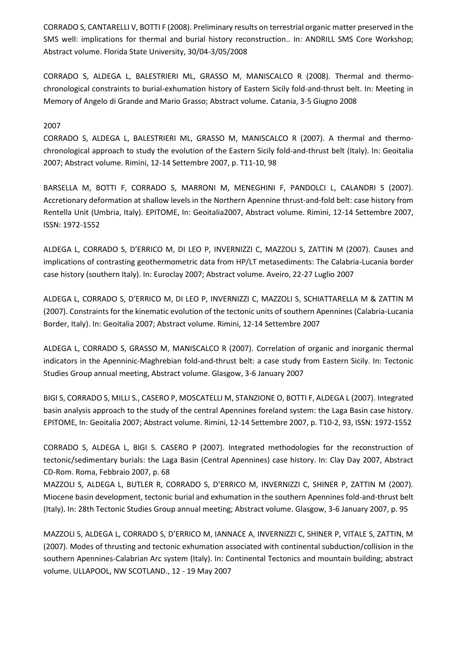CORRADO S, CANTARELLI V, BOTTI F (2008). Preliminary results on terrestrial organic matter preserved in the SMS well: implications for thermal and burial history reconstruction.. In: ANDRILL SMS Core Workshop; Abstract volume. Florida State University, 30/04-3/05/2008

CORRADO S, ALDEGA L, BALESTRIERI ML, GRASSO M, MANISCALCO R (2008). Thermal and thermochronological constraints to burial-exhumation history of Eastern Sicily fold-and-thrust belt. In: Meeting in Memory of Angelo di Grande and Mario Grasso; Abstract volume. Catania, 3-5 Giugno 2008

#### 2007

CORRADO S, ALDEGA L, BALESTRIERI ML, GRASSO M, MANISCALCO R (2007). A thermal and thermochronological approach to study the evolution of the Eastern Sicily fold-and-thrust belt (Italy). In: Geoitalia 2007; Abstract volume. Rimini, 12-14 Settembre 2007, p. T11-10, 98

BARSELLA M, BOTTI F, CORRADO S, MARRONI M, MENEGHINI F, PANDOLCI L, CALANDRI S (2007). Accretionary deformation at shallow levels in the Northern Apennine thrust-and-fold belt: case history from Rentella Unit (Umbria, Italy). EPITOME, In: Geoitalia2007, Abstract volume. Rimini, 12-14 Settembre 2007, ISSN: 1972-1552

ALDEGA L, CORRADO S, D'ERRICO M, DI LEO P, INVERNIZZI C, MAZZOLI S, ZATTIN M (2007). Causes and implications of contrasting geothermometric data from HP/LT metasediments: The Calabria-Lucania border case history (southern Italy). In: Euroclay 2007; Abstract volume. Aveiro, 22-27 Luglio 2007

ALDEGA L, CORRADO S, D'ERRICO M, DI LEO P, INVERNIZZI C, MAZZOLI S, SCHIATTARELLA M & ZATTIN M (2007). Constraints for the kinematic evolution of the tectonic units of southern Apennines (Calabria-Lucania Border, Italy). In: Geoitalia 2007; Abstract volume. Rimini, 12-14 Settembre 2007

ALDEGA L, CORRADO S, GRASSO M, MANISCALCO R (2007). Correlation of organic and inorganic thermal indicators in the Apenninic-Maghrebian fold-and-thrust belt: a case study from Eastern Sicily. In: Tectonic Studies Group annual meeting, Abstract volume. Glasgow, 3-6 January 2007

BIGI S, CORRADO S, MILLI S., CASERO P, MOSCATELLI M, STANZIONE O, BOTTI F, ALDEGA L (2007). Integrated basin analysis approach to the study of the central Apennines foreland system: the Laga Basin case history. EPITOME, In: Geoitalia 2007; Abstract volume. Rimini, 12-14 Settembre 2007, p. T10-2, 93, ISSN: 1972-1552

CORRADO S, ALDEGA L, BIGI S. CASERO P (2007). Integrated methodologies for the reconstruction of tectonic/sedimentary burials: the Laga Basin (Central Apennines) case history. In: Clay Day 2007, Abstract CD-Rom. Roma, Febbraio 2007, p. 68

MAZZOLI S, ALDEGA L, BUTLER R, CORRADO S, D'ERRICO M, INVERNIZZI C, SHINER P, ZATTIN M (2007). Miocene basin development, tectonic burial and exhumation in the southern Apennines fold-and-thrust belt (Italy). In: 28th Tectonic Studies Group annual meeting; Abstract volume. Glasgow, 3-6 January 2007, p. 95

MAZZOLI S, ALDEGA L, CORRADO S, D'ERRICO M, IANNACE A, INVERNIZZI C, SHINER P, VITALE S, ZATTIN, M (2007). Modes of thrusting and tectonic exhumation associated with continental subduction/collision in the southern Apennines-Calabrian Arc system (Italy). In: Continental Tectonics and mountain building; abstract volume. ULLAPOOL, NW SCOTLAND., 12 - 19 May 2007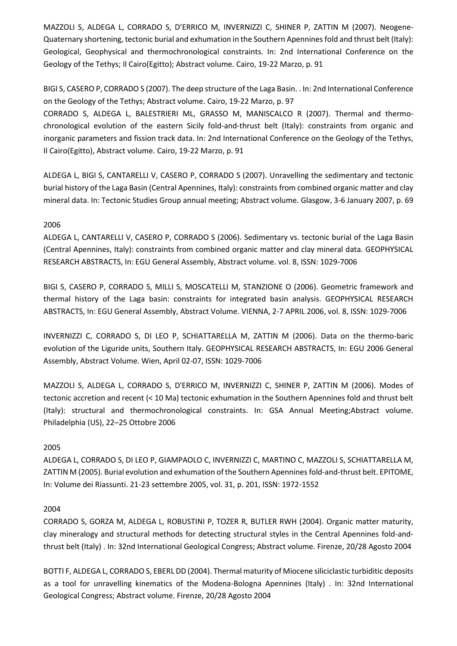MAZZOLI S, ALDEGA L, CORRADO S, D'ERRICO M, INVERNIZZI C, SHINER P, ZATTIN M (2007). Neogene-Quaternary shortening, tectonic burial and exhumation in the Southern Apennines fold and thrust belt (Italy): Geological, Geophysical and thermochronological constraints. In: 2nd International Conference on the Geology of the Tethys; Il Cairo(Egitto); Abstract volume. Cairo, 19-22 Marzo, p. 91

BIGI S, CASERO P, CORRADO S (2007). The deep structure of the Laga Basin. . In: 2nd International Conference on the Geology of the Tethys; Abstract volume. Cairo, 19-22 Marzo, p. 97

CORRADO S, ALDEGA L, BALESTRIERI ML, GRASSO M, MANISCALCO R (2007). Thermal and thermochronological evolution of the eastern Sicily fold-and-thrust belt (Italy): constraints from organic and inorganic parameters and fission track data. In: 2nd International Conference on the Geology of the Tethys, Il Cairo(Egitto), Abstract volume. Cairo, 19-22 Marzo, p. 91

ALDEGA L, BIGI S, CANTARELLI V, CASERO P, CORRADO S (2007). Unravelling the sedimentary and tectonic burial history of the Laga Basin (Central Apennines, Italy): constraints from combined organic matter and clay mineral data. In: Tectonic Studies Group annual meeting; Abstract volume. Glasgow, 3-6 January 2007, p. 69

### 2006

ALDEGA L, CANTARELLI V, CASERO P, CORRADO S (2006). Sedimentary vs. tectonic burial of the Laga Basin (Central Apennines, Italy): constraints from combined organic matter and clay mineral data. GEOPHYSICAL RESEARCH ABSTRACTS, In: EGU General Assembly, Abstract volume. vol. 8, ISSN: 1029-7006

BIGI S, CASERO P, CORRADO S, MILLI S, MOSCATELLI M, STANZIONE O (2006). Geometric framework and thermal history of the Laga basin: constraints for integrated basin analysis. GEOPHYSICAL RESEARCH ABSTRACTS, In: EGU General Assembly, Abstract Volume. VIENNA, 2-7 APRIL 2006, vol. 8, ISSN: 1029-7006

INVERNIZZI C, CORRADO S, DI LEO P, SCHIATTARELLA M, ZATTIN M (2006). Data on the thermo-baric evolution of the Liguride units, Southern Italy. GEOPHYSICAL RESEARCH ABSTRACTS, In: EGU 2006 General Assembly, Abstract Volume. Wien, April 02-07, ISSN: 1029-7006

MAZZOLI S, ALDEGA L, CORRADO S, D'ERRICO M, INVERNIZZI C, SHINER P, ZATTIN M (2006). Modes of tectonic accretion and recent (< 10 Ma) tectonic exhumation in the Southern Apennines fold and thrust belt (Italy): structural and thermochronological constraints. In: GSA Annual Meeting;Abstract volume. Philadelphia (US), 22–25 Ottobre 2006

## 2005

ALDEGA L, CORRADO S, DI LEO P, GIAMPAOLO C, INVERNIZZI C, MARTINO C, MAZZOLI S, SCHIATTARELLA M, ZATTIN M (2005). Burial evolution and exhumation of the Southern Apennines fold-and-thrust belt. EPITOME, In: Volume dei Riassunti. 21-23 settembre 2005, vol. 31, p. 201, ISSN: 1972-1552

## 2004

CORRADO S, GORZA M, ALDEGA L, ROBUSTINI P, TOZER R, BUTLER RWH (2004). Organic matter maturity, clay mineralogy and structural methods for detecting structural styles in the Central Apennines fold-andthrust belt (Italy) . In: 32nd International Geological Congress; Abstract volume. Firenze, 20/28 Agosto 2004

BOTTI F, ALDEGA L, CORRADO S, EBERL DD (2004). Thermal maturity of Miocene siliciclastic turbiditic deposits as a tool for unravelling kinematics of the Modena-Bologna Apennines (Italy) . In: 32nd International Geological Congress; Abstract volume. Firenze, 20/28 Agosto 2004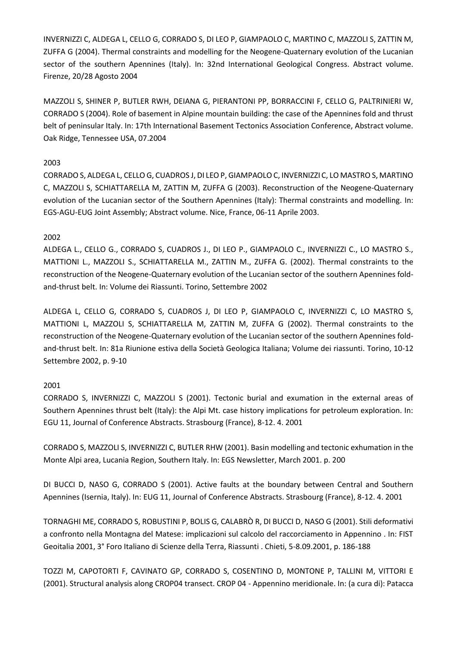INVERNIZZI C, ALDEGA L, CELLO G, CORRADO S, DI LEO P, GIAMPAOLO C, MARTINO C, MAZZOLI S, ZATTIN M, ZUFFA G (2004). Thermal constraints and modelling for the Neogene-Quaternary evolution of the Lucanian sector of the southern Apennines (Italy). In: 32nd International Geological Congress. Abstract volume. Firenze, 20/28 Agosto 2004

MAZZOLI S, SHINER P, BUTLER RWH, DEIANA G, PIERANTONI PP, BORRACCINI F, CELLO G, PALTRINIERI W, CORRADO S (2004). Role of basement in Alpine mountain building: the case of the Apennines fold and thrust belt of peninsular Italy. In: 17th International Basement Tectonics Association Conference, Abstract volume. Oak Ridge, Tennessee USA, 07.2004

### 2003

CORRADO S, ALDEGA L, CELLO G, CUADROS J, DI LEO P, GIAMPAOLO C, INVERNIZZI C, LO MASTRO S, MARTINO C, MAZZOLI S, SCHIATTARELLA M, ZATTIN M, ZUFFA G (2003). Reconstruction of the Neogene-Quaternary evolution of the Lucanian sector of the Southern Apennines (Italy): Thermal constraints and modelling. In: EGS-AGU-EUG Joint Assembly; Abstract volume. Nice, France, 06-11 Aprile 2003.

### 2002

ALDEGA L., CELLO G., CORRADO S, CUADROS J., DI LEO P., GIAMPAOLO C., INVERNIZZI C., LO MASTRO S., MATTIONI L., MAZZOLI S., SCHIATTARELLA M., ZATTIN M., ZUFFA G. (2002). Thermal constraints to the reconstruction of the Neogene-Quaternary evolution of the Lucanian sector of the southern Apennines foldand-thrust belt. In: Volume dei Riassunti. Torino, Settembre 2002

ALDEGA L, CELLO G, CORRADO S, CUADROS J, DI LEO P, GIAMPAOLO C, INVERNIZZI C, LO MASTRO S, MATTIONI L, MAZZOLI S, SCHIATTARELLA M, ZATTIN M, ZUFFA G (2002). Thermal constraints to the reconstruction of the Neogene-Quaternary evolution of the Lucanian sector of the southern Apennines foldand-thrust belt. In: 81a Riunione estiva della Società Geologica Italiana; Volume dei riassunti. Torino, 10-12 Settembre 2002, p. 9-10

## 2001

CORRADO S, INVERNIZZI C, MAZZOLI S (2001). Tectonic burial and exumation in the external areas of Southern Apennines thrust belt (Italy): the Alpi Mt. case history implications for petroleum exploration. In: EGU 11, Journal of Conference Abstracts. Strasbourg (France), 8-12. 4. 2001

CORRADO S, MAZZOLI S, INVERNIZZI C, BUTLER RHW (2001). Basin modelling and tectonic exhumation in the Monte Alpi area, Lucania Region, Southern Italy. In: EGS Newsletter, March 2001. p. 200

DI BUCCI D, NASO G, CORRADO S (2001). Active faults at the boundary between Central and Southern Apennines (Isernia, Italy). In: EUG 11, Journal of Conference Abstracts. Strasbourg (France), 8-12. 4. 2001

TORNAGHI ME, CORRADO S, ROBUSTINI P, BOLIS G, CALABRÒ R, DI BUCCI D, NASO G (2001). Stili deformativi a confronto nella Montagna del Matese: implicazioni sul calcolo del raccorciamento in Appennino . In: FIST Geoitalia 2001, 3° Foro Italiano di Scienze della Terra, Riassunti . Chieti, 5-8.09.2001, p. 186-188

TOZZI M, CAPOTORTI F, CAVINATO GP, CORRADO S, COSENTINO D, MONTONE P, TALLINI M, VITTORI E (2001). Structural analysis along CROP04 transect. CROP 04 - Appennino meridionale. In: (a cura di): Patacca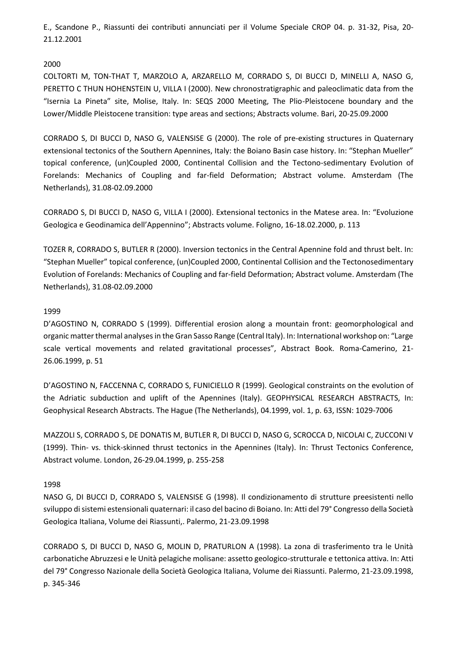E., Scandone P., Riassunti dei contributi annunciati per il Volume Speciale CROP 04. p. 31-32, Pisa, 20- 21.12.2001

### 2000

COLTORTI M, TON-THAT T, MARZOLO A, ARZARELLO M, CORRADO S, DI BUCCI D, MINELLI A, NASO G, PERETTO C THUN HOHENSTEIN U, VILLA I (2000). New chronostratigraphic and paleoclimatic data from the "Isernia La Pineta" site, Molise, Italy. In: SEQS 2000 Meeting, The Plio-Pleistocene boundary and the Lower/Middle Pleistocene transition: type areas and sections; Abstracts volume. Bari, 20-25.09.2000

CORRADO S, DI BUCCI D, NASO G, VALENSISE G (2000). The role of pre-existing structures in Quaternary extensional tectonics of the Southern Apennines, Italy: the Boiano Basin case history. In: "Stephan Mueller" topical conference, (un)Coupled 2000, Continental Collision and the Tectono-sedimentary Evolution of Forelands: Mechanics of Coupling and far-field Deformation; Abstract volume. Amsterdam (The Netherlands), 31.08-02.09.2000

CORRADO S, DI BUCCI D, NASO G, VILLA I (2000). Extensional tectonics in the Matese area. In: "Evoluzione Geologica e Geodinamica dell'Appennino"; Abstracts volume. Foligno, 16-18.02.2000, p. 113

TOZER R, CORRADO S, BUTLER R (2000). Inversion tectonics in the Central Apennine fold and thrust belt. In: "Stephan Mueller" topical conference, (un)Coupled 2000, Continental Collision and the Tectonosedimentary Evolution of Forelands: Mechanics of Coupling and far-field Deformation; Abstract volume. Amsterdam (The Netherlands), 31.08-02.09.2000

### 1999

D'AGOSTINO N, CORRADO S (1999). Differential erosion along a mountain front: geomorphological and organic matter thermal analyses in the Gran Sasso Range (Central Italy). In: International workshop on: "Large scale vertical movements and related gravitational processes", Abstract Book. Roma-Camerino, 21- 26.06.1999, p. 51

D'AGOSTINO N, FACCENNA C, CORRADO S, FUNICIELLO R (1999). Geological constraints on the evolution of the Adriatic subduction and uplift of the Apennines (Italy). GEOPHYSICAL RESEARCH ABSTRACTS, In: Geophysical Research Abstracts. The Hague (The Netherlands), 04.1999, vol. 1, p. 63, ISSN: 1029-7006

MAZZOLI S, CORRADO S, DE DONATIS M, BUTLER R, DI BUCCI D, NASO G, SCROCCA D, NICOLAI C, ZUCCONI V (1999). Thin- vs. thick-skinned thrust tectonics in the Apennines (Italy). In: Thrust Tectonics Conference, Abstract volume. London, 26-29.04.1999, p. 255-258

### 1998

NASO G, DI BUCCI D, CORRADO S, VALENSISE G (1998). Il condizionamento di strutture preesistenti nello sviluppo di sistemi estensionali quaternari: il caso del bacino di Boiano. In: Atti del 79° Congresso della Società Geologica Italiana, Volume dei Riassunti,. Palermo, 21-23.09.1998

CORRADO S, DI BUCCI D, NASO G, MOLIN D, PRATURLON A (1998). La zona di trasferimento tra le Unità carbonatiche Abruzzesi e le Unità pelagiche molisane: assetto geologico-strutturale e tettonica attiva. In: Atti del 79° Congresso Nazionale della Società Geologica Italiana, Volume dei Riassunti. Palermo, 21-23.09.1998, p. 345-346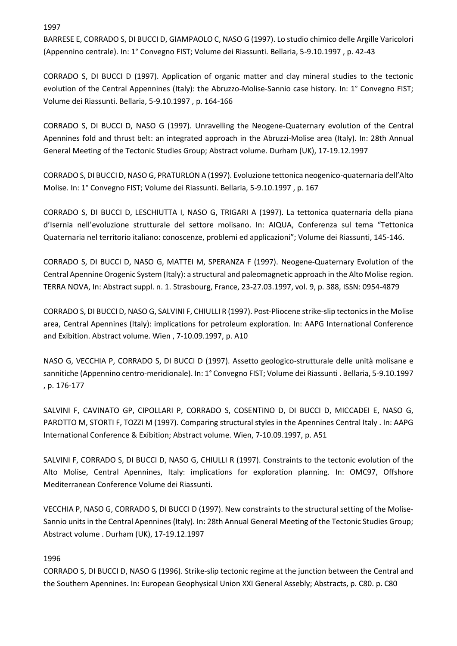1997

BARRESE E, CORRADO S, DI BUCCI D, GIAMPAOLO C, NASO G (1997). Lo studio chimico delle Argille Varicolori (Appennino centrale). In: 1° Convegno FIST; Volume dei Riassunti. Bellaria, 5-9.10.1997 , p. 42-43

CORRADO S, DI BUCCI D (1997). Application of organic matter and clay mineral studies to the tectonic evolution of the Central Appennines (Italy): the Abruzzo-Molise-Sannio case history. In: 1° Convegno FIST; Volume dei Riassunti. Bellaria, 5-9.10.1997 , p. 164-166

CORRADO S, DI BUCCI D, NASO G (1997). Unravelling the Neogene-Quaternary evolution of the Central Apennines fold and thrust belt: an integrated approach in the Abruzzi-Molise area (Italy). In: 28th Annual General Meeting of the Tectonic Studies Group; Abstract volume. Durham (UK), 17-19.12.1997

CORRADO S, DI BUCCI D, NASO G, PRATURLON A (1997). Evoluzione tettonica neogenico-quaternaria dell'Alto Molise. In: 1° Convegno FIST; Volume dei Riassunti. Bellaria, 5-9.10.1997 , p. 167

CORRADO S, DI BUCCI D, LESCHIUTTA I, NASO G, TRIGARI A (1997). La tettonica quaternaria della piana d'Isernia nell'evoluzione strutturale del settore molisano. In: AIQUA, Conferenza sul tema "Tettonica Quaternaria nel territorio italiano: conoscenze, problemi ed applicazioni"; Volume dei Riassunti, 145-146.

CORRADO S, DI BUCCI D, NASO G, MATTEI M, SPERANZA F (1997). Neogene-Quaternary Evolution of the Central Apennine Orogenic System (Italy): a structural and paleomagnetic approach in the Alto Molise region. TERRA NOVA, In: Abstract suppl. n. 1. Strasbourg, France, 23-27.03.1997, vol. 9, p. 388, ISSN: 0954-4879

CORRADO S, DI BUCCI D, NASO G, SALVINI F, CHIULLI R (1997). Post-Pliocene strike-slip tectonics in the Molise area, Central Apennines (Italy): implications for petroleum exploration. In: AAPG International Conference and Exibition. Abstract volume. Wien , 7-10.09.1997, p. A10

NASO G, VECCHIA P, CORRADO S, DI BUCCI D (1997). Assetto geologico-strutturale delle unità molisane e sannitiche (Appennino centro-meridionale). In: 1° Convegno FIST; Volume dei Riassunti . Bellaria, 5-9.10.1997 , p. 176-177

SALVINI F, CAVINATO GP, CIPOLLARI P, CORRADO S, COSENTINO D, DI BUCCI D, MICCADEI E, NASO G, PAROTTO M, STORTI F, TOZZI M (1997). Comparing structural styles in the Apennines Central Italy . In: AAPG International Conference & Exibition; Abstract volume. Wien, 7-10.09.1997, p. A51

SALVINI F, CORRADO S, DI BUCCI D, NASO G, CHIULLI R (1997). Constraints to the tectonic evolution of the Alto Molise, Central Apennines, Italy: implications for exploration planning. In: OMC97, Offshore Mediterranean Conference Volume dei Riassunti.

VECCHIA P, NASO G, CORRADO S, DI BUCCI D (1997). New constraints to the structural setting of the Molise-Sannio units in the Central Apennines (Italy). In: 28th Annual General Meeting of the Tectonic Studies Group; Abstract volume . Durham (UK), 17-19.12.1997

### 1996

CORRADO S, DI BUCCI D, NASO G (1996). Strike-slip tectonic regime at the junction between the Central and the Southern Apennines. In: European Geophysical Union XXI General Assebly; Abstracts, p. C80. p. C80